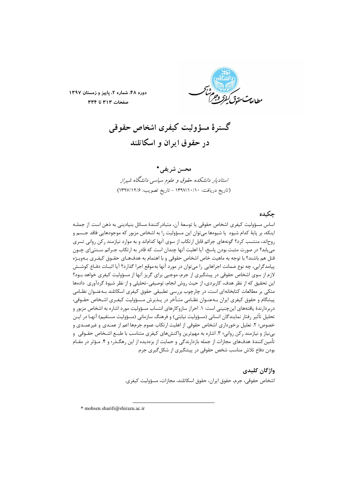

دوره ۴۸، شماره ۲، پاییز و زمستان ۱۳۹۷ صفحات ٣١٣ تا ٣٣٤

گستر ۂ مسؤ ولیت کیفری اشخاص حقوقی در حقوق ایران و اسکاتلند

محسن شريفي.\* استادیار دانشکده حقوق و علوم سیاسی دانشگاه شیراز (تاريخ دريافت: ١٣٩٧/١٠/١٠ - تاريخ تصويب: ١٣٩٧/١٢/٤)

# حكىدە

اساس مسؤوليت كيفري اشخاص حقوقي يا توسعهٔ آن، متبادر كنندهٔ مسائل بنياديني به ذهن است. از جملـه اینکه، بر پایهٔ کدام شیوه یا شیوهها میتوان این مسؤولیت را به اشخاص مزبور که موجودهایی فاقد جـسم و روحاند، منتسب کرد؟ گونههای جرائم قابل ارتکاب از سوی آنها کداماند و به موارد نیازمند رکن روانی تسری می یابد؟ در صورت مثبت بودن پاسخ، آیا اهلیت آنها چندان است که قادر به ارتکاب جـرائم سـنتی|ی چـون قتل هم باشند؟ با توجه به ماهيت خاص اشخاص حقوقي و با اهتمام به هدفهـاي حقـوق كيفـرى بـهويـژه پیامدگرایی، چه نوع ضمانت اجراهایی را می توان در مورد آنها به موقع اجرا گذارد؟ آیا اثبـات دفـاع کوشـش لازم از سوی اشخاص حقوقی در پیشگیری از جرم، موجبی برای گریز آنها از مسؤولیت کیفری خواهد بـود؟ این تحقیق که از نظر هدف، کاربردی، از حیث روش انجام، توصیفی-تحلیلی و از نظر شیوهٔ گردآوری دادهها متکی بر مطالعات کتابخانهای است، در چارچوب بررسی تطبیقی حقوق کیفری اسکاتلند بـهعنـوان نظـامی پیشگام و حقوق کیفری ایران بـهعنـوان نظـامی متـأخر در پـذیرش مـسؤولیت کیفـری اشـخاص حقـوقی، دربردارندهٔ یافتههای اینچنینی است: ۱. احراز سازوکارهای انتساب مسؤولیت مورد اشاره به اشخاص مزبور و تحلیل تأثیر رفتار نمایندگان انسانی (مسؤولیت نیابتی) و فرهنگ سازمانی (مسؤولیت مستقیم) آنهـا در ایــن خصوص؛ ۲. تعلیل برخورداری اشخاص حقوقی از اهلیت ارتکاب عموم جرمها اعم از عمـدی و غیرعمـدی و بی نیاز و نیازمند رکن روانی؛ ۳. اشاره به مهمترین واکنشهای کیفری متناسب با طبـع اشـخاص حقـوقی و تأمین کنندهٔ هدفهای مجازات از جمله بازدارندگی و حمایت از بزهدیده از این رهگـذر؛ و ۴. مـؤثر در مقـام بودن دفاع تلاش مناسب شخص حقوقی در پیشگیری از شکل گیری جرم.

## واژگان کلیدی

اشخاص حقوقي، جرم، حقوق ايران، حقوق اسكاتلند، مجازات، مسؤوليت كيفري.

\* mohsen.sharifi@shirazu.ac.ir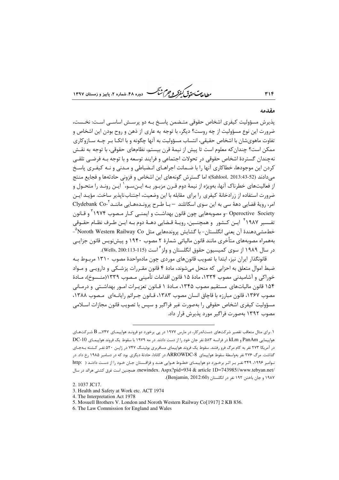*طابع<sup>ت حق</sup>وق کیفرکر و جرم شبکر* دوره ۴۸، شماره ۲، باینز و زمستان ۱۳۹۷

#### مقدمه

٣١۴

يذيرش مسؤوليت كيفري اشخاص حقوقي متـضمن ياسـخ بـه دو پرسـش اساسـي اسـت: نخـست، ضرورت این نوع مسؤولیت از چه روست؟ دیگر، با توجه به عاری از ذهن و روح بودن این اشخاص و تفاوت ماهوي شان با اشخاص حقيقي، انتساب مسؤوليت به آنها چگونه و با اتكـا بـر چـه سـازوكاري ممكن است؟ چندان كه معلوم است تا پیش از نیمهٔ قرن بیستم، نظامهای حقوقی، با توجه به نقـش نهچندان گستردهٔ اشخاص حقوقی در تحولات اجتماعی و فرایند توسعه و با توجه بـه فرضـی تلقـی کردن این موجودها، خطاکاری آنها را با ضـمانت اجراهـای انـضباطی و مـدنی و نـه کیفـری پاسـخ مي دادند (52-33:313. Sahlool, 2013)؛ اما گسترش گونههاي اين اشخاص و فزوني حادثهها و فجايع منتج از فعالیتهای خطرناک آنها، بهویژه از نیمهٔ دوم قـرن مزبـور بـه ایـنِسـو،' ایـن رونـد را متحـول و ضرورت استفاده از زرادخانهٔ کیفری را برای مقابله با این وضعیت، اجتناب ناپذیر ساخت. مؤیـد ایـن امر، رويهٔ قضايي دههٔ سي به اين سوي اسكاتلند — بـا طـرح پرونــدههـايي ماننــد<sup>٢</sup>-Clydebank Co Operoctive Society -و مصوبههایی چون قانون بهداشـت و ایمنـی کـار مـصوب ۱۹۷۴ ّ و قـانون تفــسير ١٩٨٧ أ ايـن كــشور. و همچنــين، رويـهٔ قـضايي دهــهٔ دوم بــه ايـن طـرف نظـام حقــوقي خطمشی،دهندهٔ آن یعنی انگلستان- با گشایش پروندههایی مثل Noroth Western Railway Co^-بههمراه مصوبههای متأخری مانند قانون مالیاتی شمارهٔ ۲ مصوب ۱۹۴۰ و پیشiویس قانون جزایـی در سال ۱۹۸۹ از سوی کمیسیون حقوق انگلستان و ولز<sup>۶</sup> است (Wells, 200:113-115).

قانونگذار ایران نیز، ابتدا با تصویب قانونهای موردی چون مادهواحدهٔ مصوب ۱۳۱۰ مربـوط بـه ضبط اموال متعلق به احزابی که منحل میشوند، مادهٔ ۴ قانون مقـررات پزشـکی و دارویـی و مـواد خوراكي و آشاميدني مصوب ١٣٣۴، مادهٔ ١۵ قانون اقدامات تأميني مـصوب ١٣٣٩(منـسوخ)، مـادهٔ ۱۵۴ قانون مالیاتهای مستقیم مصوب ۱۳۴۵، مـادهٔ ۱ قـانون تعزیـرات امـور بهداشـتی و درمـانی مصوب ۱۳۶۷، قانون مبارزه با قاچاق انسان مصوب ۱۳۸۳، قـانون جـرائم رایانـهای مـصوب ۱۳۸۸، مسؤوليت كيفري اشخاص حقوقي را بهصورت غير فراگير و سپس با تصويب قانون مجازات اســلامي مصوب ۱۳۹۲ بهصورت فراگیر مورد پذیرش قرار داد.

۱. برای مثال متعاقب تقصیر شرکتهای دستاندرکار، در مارس ۱۹۷۷ در پی برخورد دو فرونـد هواپیمـای ۷۴۷ــ B شـرکتهـای هواپیمایی PanAm و kLm در فرانسه ۵۸۳ نفر جان خود را از دست دادند. در مه ۱۹۷۹ با سقوط یک فروند هواپیمـای DC-10 در آمریکا ۲۷۳ نفر به کام مرگ فرو رفتند. سقوط یک فروند هواپیمای مسافربری بوئینـگ ۲۴۷ در ژاپـن ۵۲۰ نفـر کـشته بـهجـای گذاشت. مرگ ۲۷۶ نفر بهواسطهٔ سقوط هواپیمای ARROWDC-8 در کانادا، حادثهٔ دیگری بود که در دسامبر ۱۹۸۵ رخ داد. در نوامبر ۱۹۹۶، ۳۴۹ نفر بر اثر برخورد دو هواپیمای خطوط هـوایی هنـد و قزاقـستان جـان خـود را از دسـت دادنـد ( .http /newindex. Aspx?pid=934 & article 1D=743985//www.tebyan.net). همچنین است غرق کشتی هرالد در سال ۱۹۸۷ و جان باختن ۱۹۲ نفر در انگلستان (Benjamin, 2012:60).

<sup>2.1037</sup> IC17

<sup>3.</sup> Health and Safety at Work etc. ACT 1974

<sup>4.</sup> The Interpretation Act 1978

<sup>5.</sup> Mosuell Brothers V. London and Noroth Western Railway Co[1917] 2 KB 836.

<sup>6.</sup> The Law Commission for England and Wales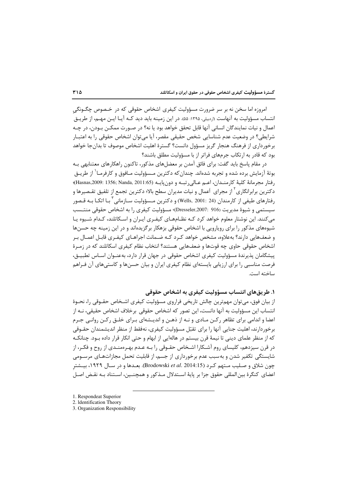#### گسترهٔ مسؤولیت کیفری اشخاص حقوقی در حقوق ایران و اسکاتلند

امروزه اما سخن نه بر سر ضرورت مسؤولیت کیفری اشخاص حقوقی که در خـصوص چگـونگی انتساب مسؤولیت به آنهاست «ردبیلی، ۱۳۹۵: ۵۵». در این زمینه باید دید کـه آیـا ایــن مهــم، از طریــق اعمال و نيات نمايندگان انساني آنها قابل تحقق خواهد بود يا نه؟ در صـورت ممكـن بـودن، در چـه شرايطي؟ در وضعيت عدم شناسايي شخص حقيقي مقصر، آيا مي توان اشخاص حقوقي را به اعتبـار برخورداری از فرهنگ هنجار گریز مسؤول دانست؟ گسترهٔ اهلیت اشخاص موصوف تا بدانجا خواهد بود که قادر به ارتکاب جرمهای فراتر از با مسؤولیت مطلق باشند؟

در مقام پاسخ باید گفت: برای فائق آمدن بر معضلهای مذکور، تاکنون راهکارهای معتنابهی بـه بوتهٔ آزمایش برده شده و تجربه شدهاند. چندان *ک*ه دکترین مـسؤولیت مـافوق و کارفرمـا<sup>\</sup> از طریــق رفتار مجرمانهٔ كليهٔ كارمنـدان، اعـم عـالىرتبـه و دون&بايـه (Hasnas,2009: 1356; Nanda, 2011:65)؛ دکترین برابرانگاری<sup>۲</sup> از مجرای اَعمال و نیات مدیران سطح بالا؛ دکترین تجمع از تلفیق تقـصیرها و رفتارهای طیفی از کارمندان (Wells, 2001: 24) و دکترین مـسؤولیت سـازمانی <sup>۲</sup> بـا اتکـا بـه قـصور سیستمی و شیوهٔ مدیریت (Dresseler,2007: 916) مسؤولیت کیفری را به اشخاص حقوقی منتـسب می کنند. این نوشتار معلوم خواهد کرد کـه نظـامهـای کیفـری ایـران و اسـکاتلند، کـدام شـیوه یـا شیوههای مذکور را برای رویارویی با اشخاص حقوقی بزهکار بر گزیدهاند و در این زمینه چه حسنها و ضعف@ایی دارند؟ بهعلاوه، مشخص خواهد کـرد کـه ضـمانت اجراهـای کیفـری قابـل اعمـال بـر اشخاص حقوقی حاوی چه قوتها و ضعفهایی هستند؟ انتخاب نظام کیفری اسکاتلند که در زمـرهٔ پیشگامان پذیرندهٔ مسؤولیت کیفری اشخاص حقوقی در جهان قرار دارد، بهعنـوان اسـاس تطبیــق، فرصت مناسبی را برای ارزیابی بایستهای نظام کیفری ایران و بیان حسنها و کاستیهای آن فـراهم ساخته است.

## ١. طريق هاي انتساب مسؤوليت كيفري به اشخاص حقوقي

از بیان فوق، میتوان مهمترین چالش تاریخی فراروی مسؤولیت کیفری اشـخاص حقـوقی را، نحـوهٔ انتساب این مسؤولیت به آنها دانست، این تصور که اشخاص حقوقی برخلاف اشخاص حقیقی، نــه از اعضا و اندامی برای تظاهر رکـن مـادی و نـه از ذهـن و اندیـشهای بـرای خلـق رکـن روانـی جـرم برخوردارند، اهلیت جنایی آنها را برای تقبّل مسؤولیت کیفری، نهفقط از منظر اندیشمندان حقـوقی که از منظر علمای دینی تا نیمهٔ قرن بیستم در هالهایی از ابهام و حتی انکار قرار داده بـود. چنانکـه در قرن سیزدهم، کلیسای روم آشـکارا اشـخاص حقـوقی را بـه عـدم بهـرهمنـدی از روح و فکـر، از شایستگی تکفیر شدن و به سبب عدم برخورداری از جسم، از قابلیت تحمل مجازاتهـای مرســومی چون شلاق و صـليب مـتهم كـرد (Brodowski *et al*. 2014:15). بعـدها و در سـال ١٩٢٩، بيــشتر اعضاي كنگرهٔ بين المللي حقوق جزا بر پايهٔ اسـتدلال مـذکور و همچنـين، اسـتناد بـه نقـض اصـل

1. Respondeat Superior

<sup>2.</sup> Identification Theory

<sup>3.</sup> Organization Responsibility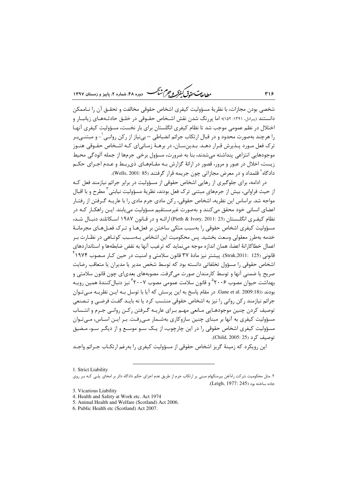<sub>رطال</sub>ۍ <sub>ستحقی</sub>ق *گڼؤکه و جرم ش<sup>ب</sup>ې*ر -<br>۷- دوره ۴۸، شماره ۲، بابیز و زمستان ۱۳۹۷

شخصی بودن مجازات، با نظریهٔ مسؤولیت کیفری اشخاص حقوقی مخالفت و تحقــق آن را نــاممکن دانستند (پرادل، ۱۳۹۱: ۱۵۲)؛ اما پررنگ شدن نقش اشـخاص حقـوقی در خلـق حادثـههـای زیانبـار و اختلال در نظم عمومی موجب شد تا نظام کیفری انگلستان برای بار نخست، مسؤولیت کیفری آنهـا را هرچند بهصورت محدود و در قبال ارتکاب جرائم انضباطی — بینیاز از رکن روانـی`- و مبتنـیبـر ترک فعل مـورد پـذیرش قـرار دهـد. بـدینِسـان، در برهـهٔ زمـانی|ی کـه اشـخاص حقـوقی هنـوز موجودهايي انتزاعي پنداشته مي شدند، بنا به ضرورت، مسؤول برخي جرمها از جمله آلودگي محيط زیست، اخلال در عبور و مرور، قصور در ارائهٔ گزارش بـه مقـامهـای ذی٫بـط و عـدم اجـرای حکـم دادگاه<sup>۲</sup> قلمداد و در معرض مجازاتی چون جریمه قرار گرفتند (Wells, 2001: 85).

در ادامه، برای جلوگیری از رهایی اشخاص حقوقی از مسؤولیت در برابر جرائم نیازمند فعل کـه از حیث فراوانی، بیش از جرمهای مبتنی ترک فعل بودند، نظریهٔ مسؤولیت نیابتی<sup>۳</sup> مطرح و با اقبال مواجه شد. براساس این نظریه، اشخاص حقوقی، رکن مادی جرم مادی را با عاریـه گـرفتن از رفتـار اعضای انسانی خود محقق می کنند و بهصورت غیرمستقیم مسؤولیت می یابند. ایـن راهکـار کـه در نظام كيفـري انگلـستان (Pieth & Ivory, 2011: 23) ارائـه و در قـانون ١٩٨٧ اسـكاتلند دنبـال شـد، مسؤوليت كيفري اشخاص حقوقي را بهسبب متكي ساختن بر فعل هـا و تـر ک فعـل هـاي مجرمانـهٔ خدمه بهطرز معقولی وسعت بخشید. پس محکومیت این اشخاص بـهسـبب کوتـاهی در نظـارت بـر اعمال خطاكارانهٔ اعضا، همان اندازه موجه مىنمايد كه ترغيب آنها به نقض ضابطهها و استانداردهاى قانوني (Strak,2011: 125). پيشتر نيز مادهٔ ۳۷ قانون سلامتي و امنيت در حين كـار مـصوب ۱۹۷۴ <sup>۲</sup> اشخاص حقوقی را مسؤول تخلفاتی دانسته بود که توسط شخص مدیر یا مدیران یا متعاقب رضایت صریح یا ضمنی آنها و توسط کارمندان صورت می¢رفت. مصوبههای بعدی|ی چون قانون سلامتی و بهداشت حیوان مصوب ۲۰۰۶° و قانون سلامت عمومی مصوب ۲۰۰۷ ٔ نیز دنبال *ک*نندهٔ همین رویـه بودند (Gane et al. 2009:18. در مقام پاسخ به این پرسش که آیا با توسل بـه ایـن نظریـه مـی تـوان جرائم نیازمند رکن روانی را نیز به اشخاص حقوقی منتسب کرد یا نه بایـد گفـت فرضـی و تـصنعی توصيف كردن چنين موجودهـايي مـانعي مهـم بـراي عاريـه گـرفتن ركـن روانـي جـرم و انتـساب مسؤولیت کیفری به آنها بر مبنای چنین سازوکاری بهشـمار مـیرفـت. بـر ایـن اسـاس، مـیتـوان مسؤولیت کیفری اشخاص حقوقی را در این چارچوب، از یـک سـو موسـع و از دیگـر سـو، مـضیق توصيف کرد (Child, 2005: 25).

این رویکرد که زمینهٔ گریز اشخاص حقوقی از مسؤولیت کیفری را بهرغم ارتکـاب جـرائم واجـد

٣١۶

<sup>1.</sup> Strict Liability

۲. مثل محکومیت شرکت راهآهن بیرمنگهام مبنی بر ارتکاب جرم از طریق عدم اجرای حکم دادگاه دائر بر امحای پلـی کـه بـر روی جاده ساخته بود (Leigh, 1977: 245).

<sup>3.</sup> Vicarious Liability

<sup>4.</sup> Health and Safety at Work etc. Act 1974

<sup>5.</sup> Animal Health and Welfare (Scotland) Act 2006.

<sup>6.</sup> Public Health etc (Scotland) Act 2007.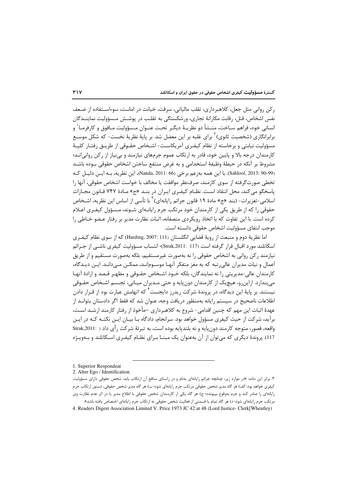ركن رواني مثل جعل، كلاهبرداري، تقلب مالياتي، سرقت، خيانت در امانـت، سوءاسـتفاده از ضـعف نفس اشخاص، قتل، رقابت مكارانهٔ تجارى، ورشكستگى به تقلب در پوشـش مـسؤوليت نماينــدگان انساني خود، فراهم ســاخت، منــشأ دو نظريــهٔ ديگــر تحــت عنــوان مــسؤوليت مــافوق و كارفرمــا<sup>\</sup> و برابرانگاری (شخصیت ثانوی) <sup>۲</sup> برای غلبه بر این معضل شد. بر پایهٔ نظریهٔ نخست- که شکل موسـع مسؤولیت نیابتی و برخاسته از نظام کیفـری آمریکاسـت- اشـخاص حقـوقی از طریـق رفتـار کلیـهٔ کارمندان درجه بالا و پایین خود، قادر به ارتکاب عموم جرمهای نیازمند و بی نیاز از رکن روانی|نـد؛ مشروط بر آنكه در حيطهٔ وظيفهٔ استخدامي و به غرض منتفع ساختن اشخاص حقوقي بـوده باشــد (Sahlool, 2013: 90-99). با اين همه بهزعم برخي (Nanda, 2011: 66)، اين نظريه، بـه ايـن دليـل كـه تخطی صورت گرفته از سوی کارمند، صرفنظر موافقت یا مخالف با خواست اشخاص حقوقی، آنها را پاسخگو می کند، محل انتقاد است. نظـام کیفـری ایـران در بنـد «ج» مـادهٔ ۷۴۷ قـانون مجـازات اسلامي-تعزيرات- (بند «ج» مادهٔ ١٩ قانون جرائم رايانهاي) <sup>٢</sup> با تأسي از اساس اين نظريه، اشـخاص حقوقی را که از طریق یکی از کارمندان خود مرتکب جرم رایانـهای شـوند، مـسؤول کیفـری اعـلام کرده است. با این تفاوت که با اتخاذ رویکردی منصفانه، اثبات نظارت مدیر بر رفتار عـضو خـاطی را موجب انتفاى مسؤوليت اشخاص حقوقى دانسته است.

اما نظريهٔ دوم و منبعث از رويهٔ قضايي انگلستان (Harding, 2007: 111) که از سوی نظام کيفـري اسکاتلند مورد اقبال قرار گرفته است (Strak,2011: 117)، انتساب مسؤولیت کیفری ناشــی از جـرائم نيازمند ركن رواني به اشخاص حقوقي را نه بهصورت غيرمستقيم، بلكه بهصورت مستقيم و از طريق اَعمال و نیات مدیران عالی ِ تبه که به مغز متفکر آنهـا موسـوم|نـد، ممکـن مـیدانـد. ایـن دیـدگاه، کارمندان عالی-مدیریتی را نه نمایندگان، بلکه خـود اشـخاص حقـوقی و مظهـر قـصد و ارادهٔ آنهـا می پندارد. ازاین رو، هیچیک از کارمندان دون پایه و حتی مـدیران میـانی، تجـسم اشـخاص حقـوقی نیستند. بر پایهٔ این دیدگاه، در پروندهٔ شرکت ریدرز دایجست<sup>۴</sup> که اتهامش عبارت بود از قـرار دادن اطلاعات ناصحیح در سیستم رایانه بهمنظور دریافت وجه، عنوان شد که فقط اگر دادستان بتوانـد از عهدهٔ اثبات این مهم که چنین اقدامی- شروع به کلاهبرداری –مأخوذ از رفتار کارمند ارشـد اسـت، برآید، شرکت از حیث کیفری مسؤول خواهد بود. سرانجام، دادگاه بـا بیـان ایـن نکتـه کـه در ایـن واقعه، قصور، متوجه کارمند دون یایه و نه بلندیایه بوده است، به تبرئهٔ شرکت رأی داد ( Strak,2011: ) 117). پروندهٔ دیگری که می توان از آن بهعنوان یک مبنــا بـرای نظــام کیفـری اســکاتلند و بــهویــژه

<sup>1.</sup> Superior Respondeat

<sup>2.</sup> Alter Ego / Identification

۳. برابر این ماده: «در موارد زیر، چنانچه جرائم رایانهای بهنام و در راستای منافع آن ارتکاب یابد، شخص حقوقی دارای مسؤولیت کیفری خواهد بود: الف) هر گاه مدیر شخص حقوقی مرتکب جرم رایانهای شود؛ ب) هر گاه مدیر شخص حقوقی، دستور ارتکاب جرم رایانهای را صادر کند و جرم بهوقوع بپیونده؛ ج) هر گاه یکی از کارمندان شخص حقوقی با اطلاع مدیر یا در اثر عدم نظارت وی مرتکب جرم رایانهای شود؛ د) هر گاه تمام یا قسمتی از فعالیت شخص حقوقی به ارتکاب جرم رایانهای اختصاص یافته باشد».

<sup>4.</sup> Readers Digest Association Limited V. Price 1973 JC 42 at 48 (Lord Justice- Clerk Wheatley)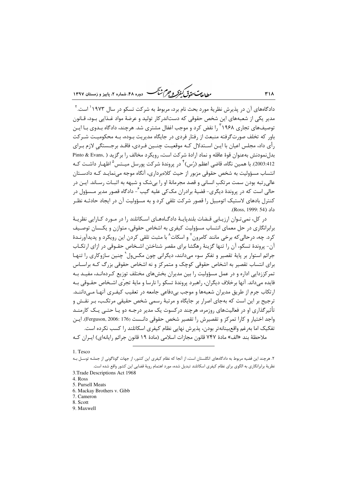بط<sub>الع</sub>ت حق<sub>دق</sub>ی کیفرکر و جرم ش<sup>ہ</sup>ر -<br>7 - دوره ۴۸، شماره ۲، بابیز و زمستان ۱۳۹۷

دادگاههای آن در پذیرش نظریهٔ مورد بحث نام برد، مربوط به شرکت تسکو د, سال ۱۹۷۳ ٰ است. ۲ مدیر یکی از شعبههای این شخص حقوقی که دستاندرکار تولید و عرضهٔ مواد غـذایی بـود، قـانون توصیفهای تجاری ۱٫<sup>۲</sup>۱۹۶۸ نقض کرد و موجب اغفال مشتری شد. هرچند، دادگاه بـدوی بـا ایـن باور که تخلف صورتگرفته منبعث از رفتار فردی در جایگاه مدیریت بـوده، بـه محکومیـت شـرکت رأي داد، مجلس اعيان با ايــن اســتدلال كــه موقعيــت چنــين فــردي، فاقــد برجــستگي لازم بــراي بدلنمودنش بهعنوان قوهٔ عاقله و نماد ارادهٔ شرکت است، رویکرد مخالف را برگزید ( .Pinto & Evans 2003:412). با همین نگاه، قاضی اعظم (رُس) <sup>۴</sup> در پروندهٔ شرکت پورسل میــتس <sup>۵</sup> اظهـار داشــت کــه انتساب مسؤولیت به شخص حقوقی مزبور از حیث کلاهبرداری، آنگاه موجه می نمایـد کـه دادسـتان عالی رتبه بودن سمت مرتکب انسانی و قصد مجرمانهٔ او را بیشک و شبهه به اثبـات رسـاند. ایــن در حالي است كه در پروندهٔ دیگری- قضیهٔ برادران مک *ک*ی علیه گیب <sup>۶</sup>- دادگاه قصور مدیر مـسؤول در کنترل بادهای لاستیک اتومبیل را قصور شرکت تلقی کرد و به مسؤولیت آن در ایجاد حادثـه نظـر داد (Ross, 1999: 54).

در کل، نمی تـوان ارزیـابی قـضات بلندیایـهٔ دادگــاههـای اسـکاتلند را در مـورد کــارایی نظریـهٔ برابرانگاری در حل معمای انتساب مسؤولیت کیفری به اشخاص حقوقی، متوازن و یکـسان توصـیف کرد. چه، درحالی که برخی مانند کامرون<sup>۷</sup> و اسکات<sup>۸</sup> با مثبت تلقی کردن این رویکرد و پدیدآورنـدهٔ آن- پروندهٔ تسکو، آن را تنها گزینهٔ رهگشا برای مقصر شناختن اشـخاص حقـوقی در ازای ارتکـاب جرائم استوار پر پایهٔ تقصیر و تفکر سوء مے دانند، دیگرانی چون مکس ول` چنین سازوکاری را تنهـا برای انتساب تقصیر به اشخاص حقوقی کوچک و متمرکز و نه اشخاص حقوقی بزرگ کـه براسـاس تمرکززدایی اداره و در عمل مسؤولیت را بین مدیران بخشهای مختلف توزیع کـردهانـد، مفیـد بـه فايده مي داند. آنها برخلاف ديگران، راهبرد پروندهٔ تسکو را نارسا و مايهٔ تجرّي اشـخاص حقـوقي بـه ارتکاب جرم از طریق مدیران شعبهها و موجب بی دفاعی جامعه در تعقیب کیفـری آنهـا مـی داننــد. ترجیح بر این است که بهجای اصرار بر جایگاه و مرتبهٔ رسمی شخص حقیقی مرتکب، بـر نقـش و تأثیرگذاری او در فعالیتهای روزمره، هرچند درکسوت یک مدیر درجـه دو یـا حتـی یـک کارمنـد واجد اختيار و كارا تمركز و تقصيرش را تقصير شخص حقوقي دانـست (Ferguson, 2006: 176). ايـن تفکیک اما بەرغم واقع بینانەتر بودن، پذیرش نهایی نظام کیفری اسکاتلند را کسب نکرده است. ملاحظهٔ بند «الف» مادهٔ ۷۴۷ قانون مجازات اسلامی (مادهٔ ۱۹ قانون جرائم رایانهای) ایـران کـه

1. Tesco

- 5. Pursell Meats 6. Mackay Brothers v. Gibb
- 7. Cameron

8. Scott

9. Maxwell

۲. هرچند این قضیه مربوط به دادگاههای انگلستان است، از آنجا که نظام کیفری این کشور، از جهات گوناگونی از جملـه توسـل بـه نظريهٔ برابرانگاري به الگوي براي نظام كيفري اسكاتلند تبديل شده، مورد اهتمام رويهٔ قضايي اين كشور واقع شده است.

<sup>3.</sup> Trade Descriptions Act 1968

<sup>4.</sup> Ross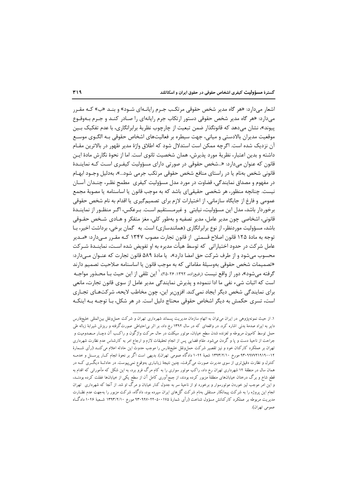اشعار میدارد: «هر گاه مدیر شخص حقوقی مرتکب جـرم رایانـهای شـود» و بنـد «ب» کـه مقـرر میدارد: «هر گاه مدیر شخص حقوقی دستور ارتکاب جرم رایانهای را صـادر کنـد و جـرم بـهوقـوع پیوند»، نشان می۵هد که قانونگذار ضمن تبعیت از چارچوب نظریهٔ برابرانگاری، با عدم تفکیک بـین موقعیت مدیران بالادستی و میانی، جهت سیطره بر فعالیتهای اشخاص حقوقی بـه الگــوی موســع آن نزدیک شده است. اگرچه ممکن است استدلال شود که اطلاق واژهٔ مدیر ظهور در بالاترین مقـام داشته و بدین اعتبار، نظریهٔ مورد پذیرش، همان شخصیت ثانوی است. اما از نحوهٔ نگارش مادهٔ ایـن قانون که عنوان میدارد: «...شخص حقوقی در صورتی دارای مسؤولیت کیفـری اسـت کـه نماینــدهٔ قانونی شخص بهنام یا در راستای منافع شخص حقوقی مرتکب جرمی شود…»، بهدلیل وجـود ابهـام در مفهوم و مصداق نمایندگی، قضاوت در مورد مدل مسؤولیت کیفری ِ مطمح نظـر، چنــدان آســان نیست. چنانچه منظور، هر شخصی حقیقی|ی باشد که به موجب قانون یا اساسنامه یا مصوبهٔ مجمع عمومي و فارغ از جايگاه سازماني، از اختيارات لازم براي تصميمگيري يا اقدام به نام شخص حقوقي برخوردار باشد، مدل این مسؤولیت، نیابتی و غیرمـستقیم اسـت. بـرعکس، اگـر منظـور از نماینـدهٔ قانونی، اشخاصی چون مدیر عامل، مدیر تصفیه و بهطور کلی، مغز متفکر و هـادی شـخص حقـوقی باشد، مسؤولیت موردنظر، از نوع برابرانگاری (همانندسازی) است. به گمان برخی، برداشت اخیر، بـا توجه به مادهٔ ۱۲۵ قانون اصلاح قسمتی از قانون تجارت مصوب ۱۳۴۷ کـه مقـرر مـیدارد: «مـدیر عامل شر کت در حدود اختیاراتی که توسط هیأت مدیره به او تفویض شده است، نماینــدهٔ شــرکت محسوب مے شود و از طرف شرکت حق امضا دارد»، یا مادۂ ۵۸۹ قانون تجارت که عنـوان مـے دارد: «تصميمات شخص حقوقي بهوسيلة مقاماتي كه به موجب قانون يا اساسنامه صلاحيت تصميم دارند گرفته می شود»، دور از واقع نیست (رفیعزاده، ۱۳۹۲: ۲۶-۲۵). ٰ این تلقی از این حیث بـا محـذور مواجـه است که اثبات شیء نفی ما ادا ننموده و پذیرش نمایندگی مدیر عامل از سوی قانون تجارت، مانعی برای نمایندگی شخص دیگر ایجاد نمی کند. افزون بر این، چون مخاطب لایحه، شرکتهـای تجـاری است، تسری حکمش به دیگر اشخاص حقوقی محتاج دلیل است. در هر شکل، بـا توجـه بـه اینکـه

۱. از حیث نمونهپژوهی در ایران میتوان به اتهام سازمان مدیریت پسماند شهرداری تهران و شرکت حمل,ونقل بین|لمللی خلیجفارس دایر به ایراد صدمهٔ بدنی اشاره کرد. در واقعهای که در سال ۱۳۹۲ رخ داد، بر اثر بی|حتیاطی صورتگرفته و ریزش شیرابهٔ زباله طی حمل توسط کامیون مربوطه و لغزنده شدن سطح خیابان، موتور سیکلت در حال حرکت واژگون و راکـب آن دچــار مــصدومیت و جراحت از ناحیهٔ دست و یا و گردن می شود. مقام قضایی پس از انجام تحقیقات لازم و ارجاع امر به کارشناس عدم نظارت شهرداری تهران بر عملکرد کارکنان خود و نیز تقصیر شرکت حملeنقل خلیجفارس را موجب حدوث این حادثه اعلام می کنــد (رأی شــمارهٔ ۹۳۰۹۹۷۷۲۱۹۱۹۰۰۱۲ مورخ ۱۳۹۳/۲/۱۰ شعبهٔ ۱۰۴۴ دادگاه عمومی تهران). بدیهی است اگر بر نحوهٔ انجام کــار پرســنل و خدمــه کنترل و نظارت دقیق تری از سوی مدیرت صورت میگرفت، چنین نتیجهٔ زیانباری بهوقوع نمی،پیوست. در حادثــهٔ دیگــری کــه در همان سال در منطقهٔ ۱۴ شهرداری تهران رخ داد، راکب موتور سواری را به کام مرگ فرو برد، به این شکل که مأمورانی که اقدام به قطع شاخ و برگ درختان خیابانهای منطقهٔ مزبور کرده بودند، از جمعآوری کامل آن از سطح یکی از خیابانها غفلت کرده بودنــد، و این امر موجب لیز خوردن موتورسوار و برخورد او از ناحیهٔ سر به جدول کنار خیابان و مرگ او شد. از آنجا که شهرداری تهران انجام این پروژه را به شرکت پیمانکار مستقلی بهنام شرکت گل۱های ایران سپرده بود، دادگاه، شرکت مزبور را بهجهت عدم نظــارت مدیریت مربوطه بر عملکرد کارکنانش مسؤول شناخت (رأی شمارهٔ ۹۳۰۹۹۷۰۲۲۰۵۰۰۱۷ مورخ ۱۳۹۳/۲/۱۰ شــعبهٔ ۱۰۴۶ دادگــاه عمومي تهران).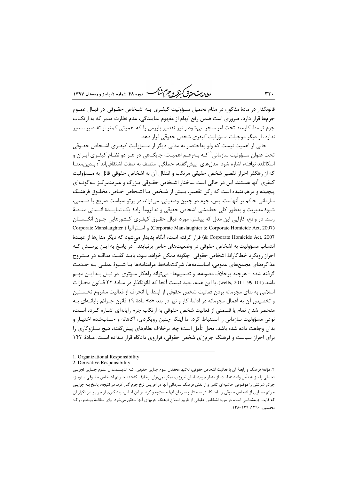ر .<br>روان**ه بهت متمدّق** *کفوکر و جرم شنگ* **دوره ۴۸، ش**ماره ۲، پاییز و زمستان ۱۳۹۷

قانونگذار در مادهٔ مذکور، در مقام تحمیل مسؤولیت کیفـری بـه اشـخاص حقـوقی در قبـال عمـوم جرمها قرار دارد، ضروری است ضمن رفع ابهام از مفهوم نمایندگی، عدم نظارت مدیر که به ارتکـاب جرم توسط کارمند تحت امر منجر میشود و نیز تقصیر بازرس را که اهمیتی کمتر از تقـصیر مـدیر ندارد، از دیگر موجبات مسؤولیت کیفری شخص حقوقی قرار دهد.

خالی از اهمیت نیست که ولو بهاختصار به مدلی دیگر از مـسؤولیت کیفـری اشـخاص حقـوقی تحت عنوان مسؤولیت سازمانی <sup>۱</sup> کـه بـه٫غـم اهمیـت، جایگـاهی در هـر دو نظـام کیفـری ایـران و اسكاتلند نيافته، اشاره شود. مدل هاي پيش گفته، جملگي، متصف به صفت اشتقاقي|ند <sup>؟</sup>؛ بـدين معنــا که از رهگذر احراز تقصیر شخص حقیقی مرتکب و انتقال آن به اشخاص حقوقی قائل به مـسؤولیت کیفری آنها هستند. این در حالی است ساختار اشـخاص حقـوقی بـزرگ و غیرمتمرکـز بـهگونـهای پیچیده و درهم تنیده است که رکن تقصیر، بـیش از شـخص یـا اشـخاص خـاص، مخلـوق فرهنـگ سازماني حاكم بر آنهاست. پس، جرم در چنين وضعيتي، مي تواند در پر تو سياست صريح يا ضـمني، شیوهٔ مدیریت و بهطور کلی خطمشی اشخاص حقوقی و نه لزوماً ارادهٔ یک نماینــدهٔ انــسانی منـصهٔ رسد. در واقع، کارایی این مدل که پیشتر، مورد اقبال حقـوق کیفـری کـشورهایی چـون انگلـستان Corporate Manslaughter & Corporate Homicide Act, 2007) و استراليا ( Corporate Manslaughter ) 2007 .e Corporate Homicide Act) قرار گرفته است، آنگاه پديدار ميشود كه ديگر مدلها از عهـدهٔ انتساب مسؤولیت به اشخاص حقوقی در وضعیتهای خاص برنیایند.<sup>۳</sup> در پاسخ به ایــز<sub>،</sub> پرســش کــه احراز رویکرد خطاکارانهٔ اشخاص حقوقی چگونه ممکن خواهد بـود، بایـد گفـت مداقـه در مـشروح مذاکرههای مجمعهای عمومی، اساسنامهها، شرکتنامهها، مرامنامهها یـا شـیوهٔ عملـی بـه خـدمت گرفته شده - هرچند برخلاف مصوبهها و تصمیمها- میتواند راهکار مـؤثری در نیـل بـه ایـن مهـم باشد (101-99 wells, 2011: با اين همه، بعيد نيست آنجا كه قانونگذار در مـادهٔ ٢٢ قـانون مجـازات اسلامی به بنای مجرمانه بودن فعالیت شخص حقوقی از ابتدا، یا انحراف از فعالیت مشروع نخـستین و تخصیص آن به اَعمال مجرمانه در ادامهٔ کار و نیز در بند «د» مادهٔ ۱۹ قانون جـرائم رایانــهای بــه منحصر شدن تمام یا قسمتی از فعالیت شخص حقوقی به ارتکاب جرم رایانهای اشـاره کـرده اسـت، نوعی مسؤولیت سازمانی را استنباط کرد. اما اینکه چنین رویکردی، آگاهانه و حسابشده اختیـار و بدان وجاهت داده شده باشد، محل تأمل است؛ چه، برخلاف نظامهای پیش گفته، هیچ ســازوکاری را برای احراز سیاست و فرهنگ جرمزای شخص حقوقی، فراروی دادگاه قرار نـداده اسـت. مـادهٔ ۱۴۳

 $rr.$ 

<sup>1.</sup> Organizational Responsibility

<sup>2.</sup> Derivative Responsibility

۳. مؤلفهٔ فرهنگ و رابطهٔ آن با فعالیت اشخاص حقوقی، نهتنها محققان علوم جنایی حقوقی، کـه اندیــشمندان علـوم جنــایی تجربــی تحلیلی را نیز به تأمل واداشته است. از منظر جرمشناسان امروزی، دیگر نمیتوان برخلاف گذشته جـرائم اشـخاص حقـوقی بـهويـژه جرائم شرکتی را موضوعی حاشیهای تلقی و از نقش فرهنگ سازمانی آنها در افزایش نرخ جرم گذر کرد. در نتیجه، پاسخ بـه چرایـی جرائم بسیاری از اشخاص حقوقی را باید گاه در ساختار و سازمان آنها جستوجو کرد. بر این اساس، پیشگیری از جرم و نیز تکرار آن که غایت جرمشناسی است، در مورد اشخاص حقوقی از طریق اصلاح فرهنگ جرمزای آنها محقق میشود. برای مطالعهٔ بیـشتر، ر.ک: محسنی، ۱۳۹۰: ۱۳۹-۱۳۸.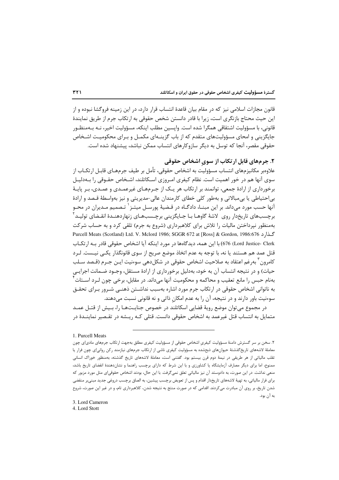.<br>قانون مجازات اسلامی نیز که در مقام بیان قاعدهٔ انتساب قرار دارد، در این زمینه فروگشا نبوده و از این حیث محتاج بازنگری است، زیرا با قادر دانستن شخص حقوقی به ارتکاب جرم از طریق نمایندهٔ قانونی، با مسؤولیت اشتقاقی همگرا شده است. واپسین مطلب اینکه، مسؤولیت اخیر، نـه بـهمنظـور جایگزینی و امحای مسؤولیتهای متقدم که از باب گزینـهای مکمـل و بـرای محکومیـت اشـخاص حقوقی مقصر، آنجا که توسل به دیگر سازوکارهای انتساب ممکن نباشد، پیشنهاد شده است.

# ۲. جرمهای قابل ارتکاب از سوی اشخاص حقوقی

علاوهبر مكانيزمهاي انتساب مسؤوليت به اشخاص حقوقي، تأمل بر طيف جرمهـاي قابـل ارتكــاب از سوی آنها هم در خور اهمیت است. نظام کیفری امـروزی اسـکاتلند، اشـخاص حقـوقی را بـهدلیـل برخورداری از ارادهٔ جمعی، توانمند بر ارتکاب هر یـک از جـرمهـای غیرعمـدی و عمـدی، بـر پایـهٔ بی|حتیاطی یا بی مبالاتی و بهطور کلی خطای کارمندان عالی-مدیریتی و نیز بهواسطهٔ قـصد و ارادهٔ آنها حسب مورد میٖداند. بر این مبنــا، دادگــاه در قـضیهٔ پورســل میتــز <sup>۱</sup> تـصمیم مـدیران در محـو برچسبھای تاریخدار روی ِ لاشهٔ گاوهـا بـا جـایگزینی برچـسبھـای زنهاردهنـدهٔ انقـضای تولیـد ٔ بهمنظور نپرداختن مالیات را تلاش برای کلاهبرداری (شروع به جرم) تلقی کرد و به حساب شرکت گذارد 676:676.Purcell Meats (Scotland) Ltd. V. Mclord 1986; SGGR 672 at [Ross] & Gordon, 1986:676 Lord Justice- Clerk) (150 با این همه، دیدگاهها در مورد اینکه آیا اشخاص حقوقی قادر بـه ارتکــاب قتل عمد هم هستند يا نه، با توجه به عدم اتخاذ موضع صريح از سوى قانونگذار يكـي نيــست. لــرد كامرون ٰ بەرغم اعتقاد بە صلاحیت اشخاص حقوقی در شكل۵هی سوءنیت ایـن جـرم (قـصد سـلب حیات) و در نتیجه انتساب آن به خود، بهدلیل برخورداری از ارادهٔ مستقل، وجـود ضـمانت اجرایـی بهنام حبس را مانع تعقيب و محاكمه و محكوميت آنها مىداند. در مقابل، برخي چون لـرد اســتات ّ به ناتوانی اشخاص حقوقی در ارتکاب جرم مورد اشاره بهسبب نداشـتن ذهنـی شـرور بـرای تحقـق سوءنیت باور دارند و در نتیجه، آن را به عدم امکان ذاتی و نه قانونی نسبت میدهند.

در مجموع می توان موضع رویهٔ قضایی اسکاتلند در خصوص جنایـتهـا را، بـیش از قتـل عمـد متمایل به انتساب قتل غیرعمد به اشخاص حقوقی دانست. قتلی کـه ریـشه در تقـصیر نماینـدهٔ در

#### 1. Purcell Meats

۲. سخن بر سر گسترش دامنهٔ مسؤولیت کیفری اشخاص حقوقی از مسؤولیت کیفری مطلق بهجهت ارتکاب جرمهای مادی|ی چون معاملهٔ لاشههای تاریخگذشتهٔ حیوانهای ذبحشده به مسؤولیت کیفری ناشی از ارتکاب جرمهای نیازمند رکن روانیای چون فرار یا تقلب مالیاتی از هر طریقی در نیمهٔ دوم قرن بیستم بود. گفتنی است، معاملهٔ لاشههای تاریخ گذشته، بهمنظور خوراک انسانی ممنوع، اما برای دیگر مصارف آزمایشگاه یا کشاورزی و با این شرط که دارای برچسب راهنما و نشاندهندهٔ انقضای تاریخ باشد، منعی نداشت. در این صورت، به دادوستد آن نیز مالیاتی تعلق نمی5رفت. با این حال، بودند اشخاص حقوقی|ی مثل مورد مزبور كه برای فرار مالیاتی، به تهیهٔ لاشههای تاریخدار اقدام و پس از تعویض برچسب پیشین، به الصاق برچسب دروغی جدید مبنی,بر منقضی شدن تاریخ، بر روی آن مبادرت میکردند. اقدامی که در صورت منتج به نتیجه شدن، کلاهبرداری تام، و در غیر این صورت، شروع به آن بود.

<sup>3.</sup> Lord Cameron

<sup>4.</sup> Lord Stott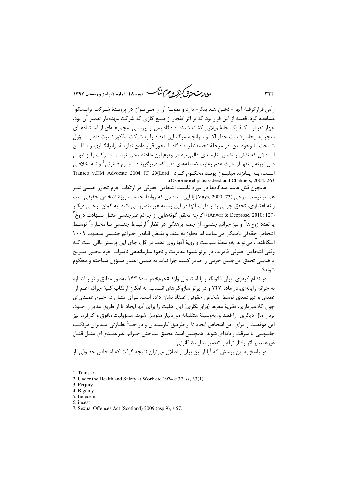ر<br>را داد<del>م گرمندگی گرفتگر و جرم شنگ ه</del> دوده ۴۸، شعاره ۲، پاییز و زمستان ۱۳۹۷

رأس قرارگرفتهٔ آنها – ذهـن هـدایتگر- دارد و نمونـهٔ آن را مـیتـوان در پرونـدهٔ شـرکت ترانـسکو <sup>۱</sup> مشاهده کرد. قضیه از این قرار بود که بر اثر انفجار از منبع گازی که شرکت عهدهدار تعمیر آن بود، چهار نفر از سکنهٔ یک خانهٔ ویلایی کشته شدند. دادگاه پس از بررسـی، مجموعـهای از اشـتباههـای منجر به ایجاد وضعیت خطرناک و سرانجام مرگ این تعداد را به شرکت مذکور نسبت داد و مسؤول شناخت. با وجود این، در مرحلهٔ تجدیدنظر، دادگاه با محور قرار دادن نظریـهٔ برابرانگــاری و بــا ایــن استدلال که نقش و تقصیر کارمندی عالی٫رتبه در وقوع این حادثه محرز نیست، شـرکت ٫ا از اتهـام قتل تبرئه و تنها از حیث عدم رعایت ضابطههای فنی که دربرگیرنــدهٔ جـرم قــانونی ٔ و نــه اخلاقــی است، بـه يـانزده ميليـون يونـد محكـوم كـرد Transco v.HM Advocate 2004 JC 29(Lord (Osborne)(ebphasisadeed and Chalmers, 2004: 263

همچون قتل عمد، دیدگاهها در مورد قابلیت اشخاص حقوقی در ارتکاب جرم تجاوز جنسی نیـز همسو نيست، برخي (73 :Mays, 2000) با اين استدلال كه , وابط جنسي، ويژهٔ اشخاص حقيقے , است و نه اعتباري، تحقق جرمي را از طرف آنها در اين زمينه غيرمتصور مي<انند. به گمان برخــي ديگــر (Anwar & Deeprose, 2010: 127)) اگرچه تحقق گونههایی از جرائم غیرجنسی مثـل شـهادت دروغ ً یا تعدد زوجها <sup>۴</sup> و نیز جرائم جنسی، از جمله برهنگی در انظار <sup>۵</sup> ارتبـاط جنــسی بـا محـارم ٔ توسـط اشخاص حقوقي ناممكن مىنمايد، اما تجاوز به عنف و نقـض قـانون جـرائم جنـسى مـصوب ٢٠٠٩ اسکاتلند ؒ، می تواند بهواسطهٔ سیاست و رویهٔ آنها روی دهد. در کل، جای این پرسش باقی است کـه وقتی اشخاص حقوقی قادرند، در پر تو شیوهٔ مدیریت و نحوهٔ سازماندهی ناصواب خود مجــوز صـریح یا ضمنی تحقق این چنین جرمی را صادر کنند، چرا نباید به همین اعتبار مسؤول شناخته و محکوم شوند؟

در نظام کیفری ایران قانونگذار با استعمال واژهٔ «جرم» در مادهٔ ۱۴۳ بهطور مطلق و نیـز اشـاره به جرائم رایانهای، در مادهٔ ۷۴۷ و در پر تو سازوکارهای انتساب، به امکان ارتکاب کلیهٔ جرائم اعــم از عمدی و غیرعمدی توسط اشخاص حقوقی اعتقاد نشان داده است. بـرای مثـال در جـرم عمــدی|ی چون کلاهبرداری، نظریهٔ مغزها (برابرانگاری) این اهلیت را برای آنها ایجاد تا از طریق مدیران خـود، بردن مال دیگری ۱٫ قصد و، بهوسیلهٔ متقلبانهٔ موردنیاز متوسل شوند. مسؤولیت مافوق و کارفرما نیز این موقعیت را برای این اشخاص ایجاد تا از طریــق کارمنــدان و در خــلأ نظــارتی مــدیران مرتکـب جاسوسی یا سرقت رایانهای شوند. همچنین است محقق سـاختن جـرائم غیرعمــدی|ی مثــل قتــل غيرعمد بر اثر رفتار توأم با تقصير نمايندهٔ قانوني.

در پاسخ به این پرسش که آیا از این بیان و اطلاق میتوان نتیجه گرفت که اشخاص حقـوقی از

<sup>1.</sup> Transco

<sup>2.</sup> Under the Health and Safety at Work etc 1974 c.37, ss, 33(1).

<sup>3.</sup> Perjury

<sup>4.</sup> Bigamy

<sup>5.</sup> Indecent

<sup>6.</sup> incest

<sup>7.</sup> Sexual Offences Act (Scotland) 2009 (asp.9), s 57.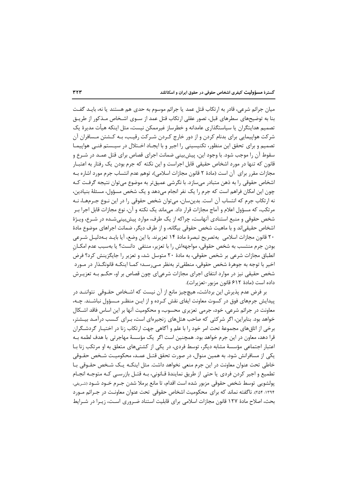میان جرائم شرعی، قادر به ارتکاب قتل عمد یا جرائم موسوم به حدی هم هستند یا نه، بایـد گفـت بنا به توضیحهای سطرهای قبل، تصور عقلی ارتکاب قتل عمد از ســوی اشـخاص مــذکور از طریــق تصمیم هدایتگران یا سیاستگذاری عامدانه و خطرساز غیرممکن نیست، مثل اینکه هیأت مدیرهٔ یک شرکت هواپیمایی برای بدنام کردن و از دور خارج کـردن شـرکت رقیـب، بـه کـشتن مـسافران آن تصمیم و برای تحقق این منظور، تکنیسینی را اجیر و با ایجـاد اخـتلال در سیـستم فنـی هواپیمـا سقوط آن را موجب شود. با وجود این، پیش بینی ضمانت اجرای قصاص برای قتل عمـد در شـرع و قانون که تنها در مورد اشخاص حقیقی قابل اجراست و این نکته که جرم بودن یک رفتار به اعتبـار مجازات مقرر براي آن است (مادهٔ ۲ قانون مجازات اسلامي)، توهم عدم انتساب جرم مورد اشاره بـه اشخاص حقوقی را به ذهن متبادر میسازد. با نگرشی عمیقتر به موضوع میتوان نتیجه گرفت کـه چون این امکان فراهم است که جرم را یک نفر انجام می۵هد و یک شخص مسؤول، مسئلهٔ بنیادین، نه ارتکاب جرم که انتساب آن است. بدینِ سان، می توان شخص حقوقی را در این نـوع جـرمهـا، نـه مرتکب، که مسؤول اعلام و آماج مجازات قرار داد. می،ماند یک نکته و آن، نوع مجازات قابل اجرا بـر شخص حقوقی و منبع استنادی آنهاست، چراکه از یک طرف، موارد پیشبینی شـده در شـرع، ویـژهٔ اشخاص حقیقی|ند و با ماهیت شخص حقوقی بیگانه، و از طرف دیگر، ضمانت اجراهای موضوع مادهٔ ٢٠ قانون مجازات اسلامي بهتصريح تبصرة مادة ١۴ تعزيرند. با اين وضع، آيا بايـد بـهدليـل شـرعي بودن جرم منتسب به شخص حقوقی، مواجههاش را با تعزیر، منتفی دانست؟ یا بهسبب عدم امکــان انطباق مجازات شرعی بر شخص حقوقی، به مادهٔ ۲۰ متوسل شد، و تعزیر را جایگزینش کرد؟ فرض اخیر با توجه به جوهرهٔ شخص حقوقی، منطقیتر بهنظر مـیرسـد؛ کمـا اینکـه قانونگـذار در مـورد شخص حقیقی نیز در موارد انتفای اجرای مجازات شرعی|ی چون قصاص بر او، حکـم بـه تعزیــرش داده است (مادة ۶۱۲ قانون مزبور-تعزيرات).

بر فرض عدم پذیرش این برداشت، هیچچیز مانع از آن نیست که اشـخاص حقـوقی ِ نتواننــد در پیدایش جرمهای فوق در کسوت معاونت ایفای نقش کـرده و از ایـن منظـر مـسؤول نباشـند. چـه، معاونت در جرائم شرعی، خود، جرمی تعزیری محسوب، و محکومیت آنها بر این اساس فاقد اشـکال خواهد بود. بنابراین، اگر شرکتی که صاحب هتلهای زنجیرهای است، بـرای کـسب درآمـد بیـشتر، برخی از اتاق های مجموعهٔ تحت امر خود را با علم و آگاهی جهت ارتکاب زنا در اختیـار گردشـگران قرا دهد، معاون در این جرم خواهد بود. همچنین است اگر یک مؤسسهٔ مهاجرتی با هدف لطمه بـه اعتبار اجتماعی مؤسسهٔ مشابه دیگر، توسط فردی، در یکی از کشتی،های متعلق به او مرتکب زنا بـا یکی از مسافرانش شود. به همین منوال، در صورت تحقق قتـل عمـد، محکومیـت شـخص حقـوقی خاطی تحت عنوان معاونت در این جرم منعی نخواهد داشت. مثل اینکـه یـک شـخص حقـوقی بـا تطميع و اجير كردن فردي يا حتى از طريق نمايندهٔ قـانوني، بـه قتـل بازرسـي كـه متوجـه انجـام پولشويي توسط شخص حقوقي مزبور شده است اقدام، تا مانع برملا شدن جـرم خـود شــود (شـريفي، ۱۳۹۴؛ ۲۵۴). ناگفته نماند که برای محکومیت اشخاص حقوقی تحت عنوان معاونت در جـرائم مـورد بحث، اصلاح مادهٔ ۱۲۷ قانون مجازات اسلامی برای قابلیت استناد ضـروری اسـت، زیـرا در شـرایط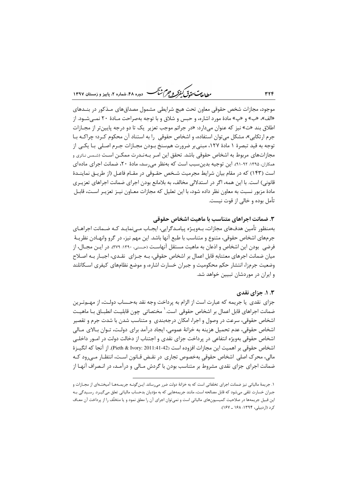ر الدیمت حقدقی کنفرکر و جرم شنگ دوره ۴۸، شعاره ۲، پاییز و زمستان ۱۳۹۷

موجود، مجازات شخص حقوقی معاون تحت هیچ شرایطی مشمول مصداقهای مـذکور در بنــدهای «الف»، «ب» و «پ» مادهٔ مورد اشاره، و حبس و شلاق و با توجه بهصراحت مـادهٔ ۲۰ نمـیشـود. از اطلاق بند «ت» نیز که عنوان میدارد: «در جرائم موجب تعزیر یک تا دو درجه پایینتر از مجـازات جرم ارتکابی»، مشکل می توان استفاده، و اشخاص حقوقی ۱٫ به استناد آن محکوم کـرد؛ چراکـه بـا توجه به قيد تبصرهٔ ۱ مادهٔ ۱۲۷، مبنی بر ضرورت همسنخ بـودن مجـازات جـرم اصـلی بـا يكـی از مجازاتهای مربوط به اشخاص حقوقی باشد. تحقق این امـر بـهنـدرت ممکـن اسـت (شـمس نـاتری و همکاران، ۱۳۹۵: ۹۲-۹۱). این توجیه بدین سبب است که بهنظر می رسد، مادهٔ ۲۰، ضمانت اجرای مادهای است (۱۴۳) که در مقام بیان شرایط مجرمیت شـخص حقـوقی در مقـام فاعـل (از طریـق نماینــدهٔ قانونی) است. با این همه، اگر در استدلالی مخالف، به بلامانع بودن اجرای ضمانت اجراهای تعزیـری مادهٔ مزبور نسبت به معاون نظر داده شود، با این تعلیل که مجازات معـاون نیـز تعزیـر اسـت، قابـل تأمل بوده و خالی از قوت نیست.

## ۳. ضمانت اجراهای متناسب با ماهیت اشخاص حقوقی

بەمنظور تأمین هدف\ای مجازات، بـەوپـژە پیامـدگرایی، ایجـاب مـی;نمایـد کـه ضـمانت اجراهـای جرمهای اشخاص حقوقی، متنوع و متناسب با طبع آنها باشد. این مهم نیز، در گرو وانهـادن نظریــهٔ فرضی بودن این اشخاص و اذعان به ماهیت مستقل آنهاست (حسنی، ۱۳۹۰: ۳۷۹). در ایـن مجـال، از میان ضمانت اجرهای معتنابهِ قابل اعمال بر اشخاص حقوقی، بـه جـزای نقـدی، اجبـار بـه اصـلاح وضعیت جرمزا، انتشار حکم محکومیت و جبران خسارت اشاره، و موضع نظامهای کیفری اسـکاتلند و ایران در موردشان تبیین خواهد شد.

#### ۰.۳ ا. جزای نقدی

جزای نقدی یا جریمه که عبارت است از الزام به پرداخت وجه نقد بهحـساب دولـت، از مهـمتـرین ضمانت اجراهای قابل اعمال بر اشخاص حقوقی است. ٰ مختصاتی چون قابلیـت انطبــاق بــا ماهیــت اشخاص حقوقی، سرعت در وصول و اجرا، امکان درجهبندی و متناسب شدن با شدت جرم و تقصیر اشخاص حقوقی، عدم تحمیل هزینه به خزانهٔ عمومی، ایجاد درآمد برای دولت، تـوان بـالای مـالی اشخاص حقوقی بهویژه انتفاعی در پرداخت جزای نقدی و اجتناب از دخالت دولت در امــور داخلــی اشخاص حقوقي بر اهميت اين مجازات افزوده است (Pieth & Ivory: 2011:41-42). از آنجا كه انگيــزهٔ مالی، محرک اصلی اشخاص حقوقی بهخصوص تجاری در نقـض قـانون اسـت، انتظـار مـی٫رود کـه ضمانت اجرای جزای نقدی مشروط بر متناسب بودن با گردش مـالی و درآمـد، در انـصراف آنهـا از

**٣٢۴** 

۱. جريمهٔ مالياتي نيز ضمانت اجراي تخلفاتي است كه به خزانهٔ دولت ضرر مي رساند. ايـن گونـه جريمـههـا آميختـهاي از مجـازات و جبران خسارت تلقی میشود که قابل مصالحه است، مانند جریمههایی که به مؤدیان بدحساب مالیاتی تعلق میگیـرد. رسـیدگی بـه این قبیل جریمهها در صلاحیت کمیسیونهای مالیاتی است و نمیتوان اجرای آن را معلق نمود و یا متخلّف را از پرداخت آن معـاف کرد (اردبیلی، ۱۳۹۴: ۱۶۸ ـ ۱۶۷).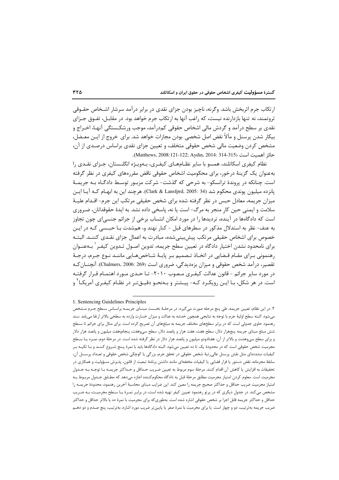ارتکاب جرم اثربخش باشد. وگرنه، ناچیز بودن جزای نقدی در برابر درآمد سرشار اشـخاص حقـوقی ثروتمند، نه تنها بازدارنده نیست، که راغب آنها به ارتکاب جرم خواهد بود. در مقابـل، تفـوق جـزای نقدي بر سطح درآمد و گردش مالي اشخاص حقوقي كمدرآمد، موجب ورشكـستگي آنهـا، اخـراج و بیکار شدن پرسنل و مآلاً نقض اصل شخصی بودن مجازات خواهد شد. برای خروج از ایـن معـضل، مشخص کردن وضعیت مالی شخص حقوقی متخلف، و تعیین جزای نقدی براساس درصـدی از آن، حائز اهميت است (Matthews, 2008:121-122; Aydin, 2014: 314-315).

نظام کیفری اسکاتلند، همسو با سایر نظــامهــای کیفـری، بــهویـژه انگلــستان، جــزای نقــدی را بهعنوان یک گزینهٔ درخور، برای محکومیت اشخاص حقوقی ناقض مقررههای کیفری در نظر گرفته است. چنانکه در پروندهٔ ترانسکو- به شرحی که گذشت- شرکت مزبـور توسـط دادگـاه بـه جریمـهٔ يانزده ميليون يوندي محكوم شد (Clark & Lansfprd, 2005: 34). هر چند اين به ابهـام كـه آيـا ايـن میزان جریمه، معادل حبس در نظر گرفته شده برای شخص حقیقی مرتکب این جرم- اقـدام علیـهٔ سلامت و ایمنی حین کار منجر به مرگ- است یا نه، پاسخی داده نشد. به ایدهٔ حقوقدانان، ضـروری است که دادگاهها در آینده، تردیدها را در مورد امکان انتساب برخی از جرائم جنسی|ی چون تجاوز به عنف- نظر به استدلال مذکور در سطرهای قبل - کنار نهند و، همشدت بـا حبـسی کـه در ایـن خصوص برای اشخاص حقیقی مرتکب پیشبینیشده، مبادرت به اعمال جزای نقـدی کننـد. البتـه برای نامحدود نشدن اختیار دادگاه در تعیین سطح جریمه، تدوین اصـول تـدوین کیفـر <sup>۱</sup> بــهعنـوان رهنمونی بـرای مقـام قـضایی در اتخـاذ تـصمیم بـر پایـهٔ شـاخصهـایی ماننـد نـوع جـرم، درجـهٔ تقصیر، درآمد شخص حقوقی و میزان بزهدیدگی، ضروری است (Chalmers, 2006: 269). آنچنــان *ک*ـه در مورد سایر جرائم - قانون عدالت کیفـری مـصوب ۲۰۱۰- تـا حـدی مـورد اهتمـام قـرا, گرفتـه است. در هر شکل، بـا ايــن رويکـرد کـه- پيــشتر و بـهنحـو دقيــقتـر در نظـام کيفـري آمريکـا ً و

1. Sentencing Guidelines Principles

۲. در این نظام، تعیین جریمه، طی پنج مرحله صورت میگیرد: در مرحلـهٔ نخـست مبنـای جریمـه براسـاس سـطح جـرم مـشخص میشود. البته سطح اولیهٔ جرم با توجه به نتایجی همچون خدشه به عدالت و میزان خسارت وارده به سطحی بالاتر ارتقا می یابد. سند رهنمود حاوی جدولی است که در برابر سطحهای مختلف جریمه به مبلغهای آن تصریح کرده است. برای مثال برای جرائم تا سطح شش مبلغ مبنای جریمه پنجهزار دلار، سطح هفت، هفت هزار و پانصد دلار، سطح سیوهفت، پنجاهوهفت میلیون و پانصد هزار دلار و برای سطح سیوهشت و بالاتر از آن، هفتادودو میلیون و پانصد هزار دلار در نظر گرفته شده است. در مرحلهٔ دوم، نمـره یـا سـطح مجرمیت شخص حقوقی است که در محدودهٔ یک تا ده تعیین میشود. البته دادگاهها باید با نمرهٔ پـنج شـروع کننـد و بـا تكيـه بـر کیفیات مشددهای مثل نقش پرسنل عالی٫رتبهٔ شخص حقوقی در تحقق جرم، بزرگی یا کوچکی شخص حقوقی و تعـداد پرســنل آن، سابقهٔ مجرمانه، نقض دستور یا قرار قضایی یا کیفیات مخففهای مانند داشتن برنامهٔ تبعیت از قانون، پذیرش مسؤولیت و همکاری در تحقيقات به افزايش يا كاهش آن اقدام كنند. مرحلهٔ سوم مربوط به تعيين ضريب حـداقل و حـداكثر جريمـه بـا توجـه بـه جـدول مجرمیت است. معلوم کردن امتیاز مجرمیت مطابق مرحلهٔ قبل به دادگاه محکومکننده اجازه میدهد که مطـابق جــدول مربـوط بــه امتياز مجرميت ضريب حداقل و حداكثر صحيح جريمه را معين كند. اين ضرايب مبناي محاسبهٔ آخرين رهنمود، محدودهٔ جريمـه را مشخص میکند. در جدول دیگری که در پرتو رهنمود تعیین کیفر تهیه شده است، در برابـر نمـرهٔ یـا سـطح مجرمیـت، بـه ضـریب حداقل و حداکثر جریمه قابل اجرا بر شخص حقوقی اشاره شده است. بهطوری4ه برای مجرمیت با نمرهٔ ده یا بالاتر حداقل و حداكثر ضریب جریمه بهترتیب، دو و چهار است. یا برای مجرمیت با نمرهٔ صفر یا پایین¤ر ضریب مورد اشاره، بهترتیب، پنج صـدم و دو دهـم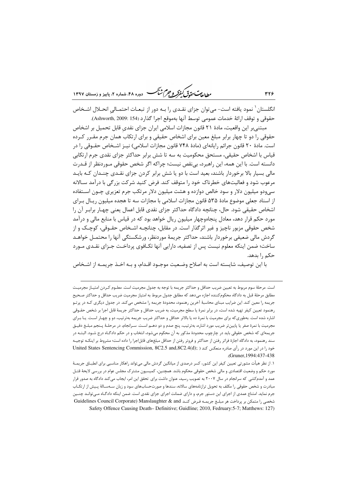ر ...<br>ر<u>طالعات متمامی کمفرکر و جر</u>م کش<sup>ت</sup>ک دوده ۴۸، شعاره ۲، پاییز و زمستان ۱۳۹۷

انگلستان <sup>۱</sup> نمود یافته است- می¤وان جزای نقـدی را بـه دور از تبعـات احتمـالی انحـلال اشـخاص حقوقي و توقف ارائهٔ خدمات عمومي توسط آنها بهموقع اجرا گذارد (154 :Ashworth, 2009).

مبتنی بر این واقعیت، مادهٔ ۲۱ قانون مجازات اسلامی ایران جزای نقدی قابل تحمیل بر اشخاص حقوقی را دو تا چهار برابر مبلغ معین برای اشخاص حقیقی و برای ارتکاب همان جرم مقـرر کـرده است. مادهٔ ۲۰ قانون جرائم رایانهای (مادهٔ ۷۴۸ قانون مجازات اسلامی) نیــز اشــخاص حقــوقی را در قیاس با اشخاص حقیقی، مستحق محکومیت به سه تا شش برابر حداکثر جزای نقدی جرم ارتکابی دانسته است. با این همه، این راهبرد، بی نقص نیست؛ چراکه اگر شخص حقوقی مـوردنظر از قـدرت مالی بسیار بالا برخوردار باشند، بعید است با دو یا شش برابر کردن جزای نقـدی چنـدان کـه بایـد مرعوب شود و فعالیتهای خطرناک خود را متوقف کند. فرض کنید شرکت بزرگی با درآمد سـالانه سي,ودو ميليون دلار و سود خالص دوازده و هشت ميليون دلار مرتكب جرم تعزيري چــون اســتفاده از اسناد جعلی موضوع مادهٔ ۵۳۵ قانون مجازات اسلامی با مجازات سه تا هجده میلیون ریـال بـرای اشخاص حقیقی شود. حال، چنانچه دادگاه حداکثر جزای نقدی قابل اعمال یعنی چهـار برابـر آن را مورد حکم قرار دهد، معادل پنجاهوچهار میلیون ریال خواهد بود که در قیاس با منابع مالی و درآمد شخص حقوقي مزبور ناچيز و غير اثرگذار است. در مقابل، چنانچــه اشــخاص حقــوقي، كوچــک و از گردش مالی ضعیفی برخوردار باشند، حداکثر جریمهٔ موردنظر، ورشکستگی آنها را محتمـل خواهـد ساخت؛ ضمن اینکه معلوم نیست پس از تصفیه، دارایی آنها تکـافوی پرداخـت جـزای نقـدی مـورد حکم ,ا بدهد.

با اين توصيف، شايسته است به اصلاح وضـعيت موجـود اقـدام، و بـه اخـذ جريمـه از اشـخاص

٣٢۶

است. مرحلهٔ سوم مربوط به تعیین ضریب حداقل و حداکثر جریمه با توجه به جدول مجرمیت است. معلـوم کـردن امتیـاز مجرمیـت مطابق مرحلهٔ قبل به دادگاه محکوم کننده اجازه میدهد که مطابق جدول مربوط به امتیاز مجرمیت ضریب حداقل و حداکثر صحیح جریمه را معین کند. این ضرایب مبنای محاسبهٔ آخرین رهنمود، محدودهٔ جریمه را مشخص میکند. در جدول دیگری کـه در پرتـو رهنمود تعيين كيفر تهيه شده است، در برابر نمرهٔ يا سطح مجرميت، به ضريب حداقل و حداكثر جريمهٔ قابل اجرا بر شخص حقـوقى اشاره شده است. بهطوری که برای مجرمیت با نمرهٔ ده یا بالاتر حداقل و حداکثر ضریب جریمه بهترتیب، دو و چهـار اسـت. یـا بـرای مجرمیت با نمرهٔ صفر یا پایینتر ضریب مورد اشاره، بهترتیب، پنج صدم و دو دهـم اسـت. سـرانجام، در مرحلـهٔ پـنجم مبلـغ دقیـق جریمهای که شخص حقوقی باید در چارچوب محدودهٔ مذکور به آن محکوم میشود، انتخاب و در حکم دادگـاه درج شـود. البتـه در سند رهنمود، به دادگاه اجازهٔ فراتر رفتن از حداکثر و فروتر رفتن از حداقل مبلغهای قابل|جرا را داده است؛ مشروط بر اینکـه توجیـه خود را در این مورد در رأی صادره منعکس کند ( United States Sentencing Commission, 8C2.5 and,8C2.4(d) Gruner, 1994; 437-438).

۱. از نظر هیأت مشورتی تعیین کیفر این کشور، کسر درصدی از میانگین گردش مالی می¤واند راهکار مناسبی برای انطبـاق جریمـهٔ .<br>مورد حکم و وضعیت اقتصادی و مالی شخص حقوقی محکوم باشد. همچنین، کمیسیون مشترک مجلس عوام در بررسی لایحهٔ قتـل عمد و آمدم کشی که سرانجام در سال ۲۰۰۷ به تصویب رسید، عنوان داشت برای تحقق این امر، ایجاب می کند دادگاه به صدور قرار مبادرت و شخص حقوقی را مکلف به تحویل ترازنامههای سالانه، سندها و صورتحسابهای سود و زیان سـهسـالهٔ پـیش از ارتکـاب جرم نماید. امتناع عمدی از اجرای این دستور جرم، و دارای ضمانت اجرای جزای نقدی است. ضمن اینکه دادگـاه مـی¤وانـد چنـین شخصی را متمکن بر پرداخت هر مبلـغ جریمـه فـرض کنـد Guidelines Council Corporate) Manslaughter & and Safety Offence Causing Death- Definitive; Guidline; 2010, Fedruary: 5-7; Matthews: 127)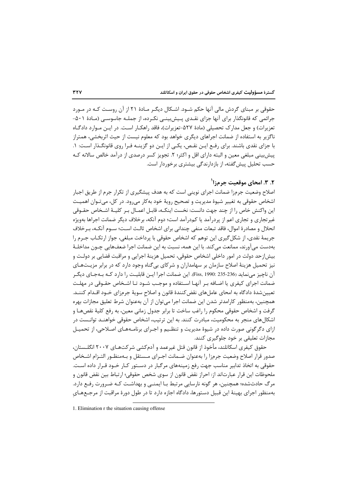گسترهٔ مسؤولیت کیفری اشخاص حقوقی در حقوق ایران و اسکاتلند

حقوقی بر مبنای گردش مالی آنها حکم شـود. اشـکال دیگـر مـادهٔ ۲۱ از آن روسـت کـه در مـورد جرائمی که قانونگذار برای آنها جزای نقـدی پـیش بینـی نکـرده، از جملـه جاسوسـی (مـادهٔ ۵۰۱-تعزیرات) و جعل مدارک تحصیلی (مادهٔ ۵۲۷-تعزیرات)، فاقد راهکـا, اسـت. در ایـن مـوارد دادگـاه ناگزیر به استفاده از ضمانت اجراهای دیگری خواهد بود که معلوم نیست از حیث اثربخشی، همتراز با جزای نقدی باشند. برای رفـع ایـن نقـص، یکـی از ایـن دو گزینــه فـرا روی قانونگــذار اسـت: ۱. پیش بینی مبلغی معین و البته دارای اقل و اکثر؛ ۲. تجویز کسر درصدی از درآمد خالص سالانه کـه حسب تحلیل پیش گفته، از بازدارندگی بیشتری برخوردار است.

## ٢. ٣. امحاي موقعيت جرمزا`

اصلاح وضعیت جرمزا ضمانت اجرای نوینی است که به هدف پیشگیری از تکرار جرم از طریق اجبار اشخاص حقوقی به تغییر شیوهٔ مدیریت و تصحیح رویهٔ خود بهکار میرود. در کل، میتوان اهمیت این واکنش خاص را از چند جهت دانست: نخست اینکـه، قابـل اعمـال بـر کلیـهٔ اشـخاص حقـوقی غیر تجاری و تجاری اعم از پردرآمد یا کمدرآمد است؛ دوم آنکه، برخلاف دیگر ضمانت اجراها بهویژه انحلال و مصادرهٔ اموال، فاقد تبعات منفی چندانی برای اشخاص ثالث است؛ سـوم آنکـه، بـرخلاف جريمهٔ نقدي، از شكل گيري اين توهم كه اشخاص حقوقي با پرداخت مبلغي، جواز ارتكــاب جــرم را بەدست می آورند، ممانعت می کند. با این همه، نسبت به این ضمانت اجرا ضعفهایی چــون مداخلـهٔ بیش|زحد دولت در امور داخلی اشخاص حقوقی، تحمیل هزینهٔ اجرایی و مراقبت قضایی بر دولت و نیز تحمیل هزینهٔ اصلاح سازمان بر سهامداران و شرکای بیگناه وجود دارد که در برابر مزیـتهـای آن ناچيز مي نمايد (236-235 :Fiss, 1990). اين ضمانت اجرا ايـن قابليـت ,ا دارد كــه بــهجـاي ديگــر ضمانت اجرای کیفری یا اضـافه بـر آنهـا اسـتفاده و موجـب شـود تـا اشـخاص حقـوقی در مهلـت تعیین شدهٔ دادگاه به امحای عاملهای نقض کنندهٔ قانون و اصلاح سویهٔ جرمزای خـود اقـدام کننـد. همچنین، بهمنظور کارامدتر شدن این ضمانت اجرا می¤وان از آن بهعنوان شرط تعلیق مجازات بهره گرفت و اشخاص حقوقی محکوم را راغب ساخت تا برابر جدول زمانی معین، به رفع کلیهٔ نقصهـا و اشکالهای منجر به محکومیت، مبادرت کنند. به این ترتیب، اشخاص حقوقی خواهنـد توانـست در ازای دگرگونی صورت داده در شیوهٔ مدیریت و تنظیم و اجـرای برنامـههـای اصـلاحی، از تحمیـل مجازات تعلیقی بر خود جلوگیری کنند.

حقوق کیفری اسکاتلند، مأخوذ از قانون قتل غیرعمد و آدم کشی شرکتهـای ۲۰۰۷ انگلـستان، صدور قرار اصلاح وضعيت جرمزا را بهعنوان ضـمانت اجـراي مـستقل و بـهمنظـور التـزام اشـخاص حقوقی به اتخاذ تدابیر مناسب جهت رفع زمینههای مرگبار در دسـتور کـار خـود قـرار داده اسـت. ملحوظات اين قرار عبارتاند از: احراز نقض قانون از سوى شخص حقوقي؛ ارتباط بين نقض قانون و مرگ حادثشده؛ همچنین، هر گونه نارسایی مرتبط بـا ایمنـی و بهداشـت کـه ضـرورت رفـع دارد. بهمنظور اجرای بهینهٔ این قبیل دستورها، دادگاه اجازه دارد تا در طول دورهٔ مراقبت از مرجـعهـای

<sup>1.</sup> Elimination r the situation causing offense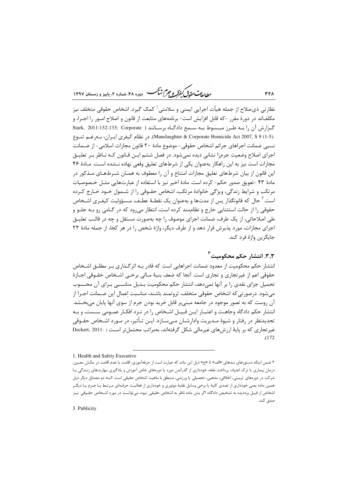ر .<br>مطالعات متحقق *کفوکر و جهم شنگ* دوده ۴۸، شعاره ۲، پاییز و زمستان ۱۳۹۷

نظارتي ذي صلاح از جمله هيأت اجرايي ايمني و سلامتي ` كمک گيرد. اشخاص حقوقي متخلف نيز مكلفاند در دورهٔ مقرر –كه قابل افزايش است– برنامههاى متابعت از قانون و اصلاح امــور را اجــرا، و گزارش آن را بـه طـرز مبـسوط بـه سـمع دادگـاه برسـانند ( Stark, 2011:132-133; Corporate .(Manslaughter & Corporate Homicide Act 2007, S 9 (1-5). در نظام كيفري ايبران، ببهرغيم تنبوع نسبی ضمانت اجراهای جرائم اشخاص حقوقی- موضوع مادهٔ ۲۰ قانون مجازات اسلامی- از ضـمانت اجرای اصلاح وضعیت جرمزا نشانی دیده نمی شود. در فصل ششم ایــن قــانون کــه نــاظر بـر تعلیــق مجازات است نیز به این راهکار بهعنوان یکی از شرطهای تعلیق وقعی نهاده نــشده اسـت. مـادهٔ ۴۶ این قانون از بیان شرطهای تعلیق مجازات امتناع و آن را معطوف به همـان شـرطهـای مـذکور در مادهٔ ۴۳ –تعویق صدور حکم– کرده است. مادهٔ اخیر نیز با استفاده از عبارتهایی مثـل خـصوصیات مرتکب و شرایط زندگی، ویژگی خانوادهٔ مرتکب، اشخاص حقـوقی را از شـمول خـود خـارج کـرده است.' حال که قانونگذار پس از مدتها و بهعنوان یک نقطـهٔ عطـف، مـسؤولیت کیفـری اشـخاص حقوقی را از حالت استثنایی خارج و نظاممند کرده است، انتظار می رود که در گـامی رو بـه جلـو و طی اصلاحاتی، از یک طرف، ضمانت اجرای موصوف را چه بهصورت مستقل و چه در قالـب تعلیــق اجرای مجازات، مورد پذیرش قرار دهد و از طرف دیگر، واژهٔ شخص را در هر کجا، از جمله مادهٔ ۲۳ جايگزين واژهٔ فرد کند.

۰۳٫۳. انتشار حکم م*ح*کومیت <sup>۲</sup>

انتشار حکم محکومیت از معدود ضمانت اجراهایی است که قادر بـه اثرگـذاری بـر مطلـق اشـخاص حقوقي اعم از غيرتجاري و تجاري است. آنجا كه ضعف بنيهٔ مـالي برخـي اشـخاص حقـوقي اجـازهٔ تحمیل جزای نقدی را بر آنها نمیدهد، انتشار حکم محکومیت بـدیل مناسـبی بـرای آن محـسوب مے،شود. درصورتی که اشخاص حقوقی متخلف، ثروتمند باشند، مناسبت اعمال این ضـمانت اجـرا از آن روست که به تصور موجود در جامعه مبنی،بر قابل خرید بودن جرم از سوی آنها پایان می،بخــشد. انتشار حکم دادگاه وجاهـت و اعتبـار ايـن قبيـل اشـخاص را در نـزد افکـار عمـومي سـست، و بـه تجديدنظر در رفتار و شيوهٔ مـديريت وادارشـان مـي،سـازد. ايــن تـأثير، در مــورد اشـخاص حقــوقي غیر تجاری که بر پایهٔ ارزشهای غیرمالی شکل گرفتهاند، بهمراتب محتمل تر است ( :Deckert, 2011  $. (172)$ 

**٣٢٨** 

<sup>1.</sup> Health and Safety Executive

۲ ضمن اینکه دستورهای بندهای «الف» تا «ح» ذیل این ماده که عبارت است از حرفهآموزی، اقامت یا عدم اقامت در مکـان معـین، درمان بیماری یا ترک اعتیاد، پرداخت نفقه، خودداری از گذراندن دوره یا دورههای خاص آموزش و یادگیری مهارتهای زنـدگی یـا شرکت در دورههای تربیتی، اخلاقی، مذهبی، تحصیلی یا ورزشی، منبطق با ماهیت اشخاص حقیقی است. البته دو مصداق دیگر ذیل همین ماده یعنی خودداری از تصدی کلیهٔ یا برخی وسایل نقلیهٔ موتوری و خودداری از فعالیت حرفـهای مـرتبط بـا جـرم یـا دیگـر اشخاص از قبیل بزهدیده به تشخیص دادگاه، اگر متن ماده ناظر به اشخاص حقیقی نبود، میتوانست در مورد اشـخاص حقـوقی نیـز صدق كند.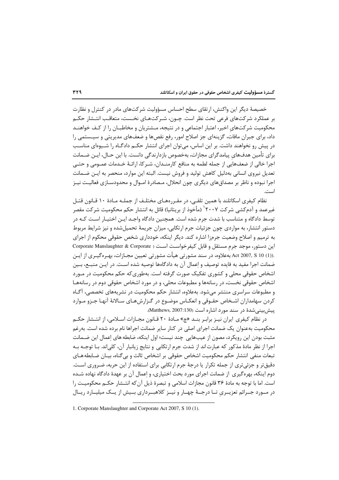گسترهٔ مسؤولیت کیفری اشخاص حقوقی در حقوق ایران و اسکاتلند

خصیصهٔ دیگر این واکنش، ارتقای سطح احساس مسؤولیت شرکتهای مادر در کنترل و نظارت بر عملکرد شرکتهای فرعی تحت نظر است. چــون، شــرکتهــای نخــست، متعاقـب انتــشار حکــم محکومیت شرکتهای اخیر، اعتبار اجتماعی و در نتیجه، مـشتریان و مخاطبـان را از کـف خواهنـد داد، برای جبران مافات، گزینهای جز اصلاح امور، رفع نقصها و ضعفهای مدیریتی و سیـستمی را در پیش رو نخواهند داشت. بر این اساس، می¤وان اجرای انتشار حکـم دادگـاه را شـیوهای مناسـب برای تأمین هدفهای پیامدگرای مجازات، بهخصوص بازدارندگی دانست. با این حـال، ایـن ضــمانت اجرا خالي از ضعفهايي از جمله لطمه به منافع كارمنـدان، شـركا، ارائـهٔ خـدمات عمـومي و حتـي تعدیل نیروی انسانی بهدلیل کاهش تولید و فروش نیست. البته این موارد، منحصر به ایـن ضـمانت اجرا نبوده و ناظر بر مصداقهای دیگری چون انحلال، مـصادرهٔ امـوال و محدودسـازی فعالیـت نیـز است.

نظام کیفری اسکاتلند با همین تلقے، در مقـررمهـای مختلـف از جملـه مـادهٔ ۱۰ قـانون قتـل غیرعمد و آدمکشی شرکت ۲۰۰۷<sup>۱ (</sup>مأخوذ از بریتانیا) قائل به انتشار حکم محکومیت شرکت مقصر توسط دادگاه و متناسب با شدت جرم شده است. همچنین دادگاه واجـد ایـن اختیـار اسـت کـه در دستور انتشار، به مواردی چون جزئیات جرم ارتکابی، میزان جریمهٔ تحمیل شده و نیز شرایط مربوط به ترمیم و اصلاح وضعیت جرمزا اشاره کند. دیگر اینکه، خودداری شخص حقوقی محکوم از اجرای این دستور، موجد جرم مستقل و قابل کیفرخواست است ( Corporate Manslaughter & Corporate .(1) Act 2007, S 10 بهعلاوه، در سند مشورتی هیأت مشورتی تعیین مجـازات، بهـرهگیـری از ایـن ضمانت اجرا مفید به فایده توصیف و اِعمال آن به دادگاهها توصیه شده است. در ایـن منبـع، بـین اشخاص حقوقی محلی و کشوری تفکیک صورت گرفته است. بهطوری که حکم محکومیت در مـورد اشخاص حقوقی نخست، در رسانهها و مطبوعات محلی، و در مورد اشخاص حقوقی دوم در رسانههـا و مطبوعات سراسری منتشر می شود. بهعلاوه، انتشار حکم محکومیت در نشریههای تخصصی، آگـاه کردن سهامداران اشـخاص حقـوقي و انعکـاس موضـوع در گـزارشهـاي سـالانهٔ آنهـا جـزو مـوارد ييش بيني شدة در سند مورد اشاره است (Matthews, 2007:130).

در نظام کیفری ایران نیـز برابـر بنــد «چ» مــادهٔ ۲۰ قــانون مجــازات اســلامی، از انتــشار حکــم محکومیت بهعنوان یک ضمانت اجرای اصلی در کنار سایر ضمانت اجراها نام برده شده است. بهرغم مثبت بودن این رویکرد، مصون از عیبهایی چند نیست؛ اول اینکه، ضابطه های اعمال این ضـمانت اجرا از نظر مادهٔ مذکور که عبارت اند از شدت جرم ارتکابی و نتایج زبانیار آن، کلیاند. بـا توجـه بـه تبعات منفی انتشار حکم محکومیت اشخاص حقوقی بر اشخاص ثالث و بی گناه، بیـان ضـابطه هـای دقیق تر و جزئی تری از جمله تکرار یا درجهٔ جرم ارتکابی برای استفاده از این حربه، ضـروری اسـت. دوم اینکه، بهره گیری از ضمانت اجرای مورد بحث اختیاری، و اعمال آن بر عهدهٔ دادگاه نهاده شـده است. اما با توجه به مادهٔ ۳۶ قانون مجازات اسلامی و تبصرهٔ ذیل آن که انتـشار حکـم محکومیـت را در مـورد جـرائم تعزیــری تــا درجــهٔ چهــار و نیــز کلاهبــرداری بــیش از یــک میلیــارد ریــال

<sup>1.</sup> Corporate Manslaughter and Corporate Act 2007, S 10 (1).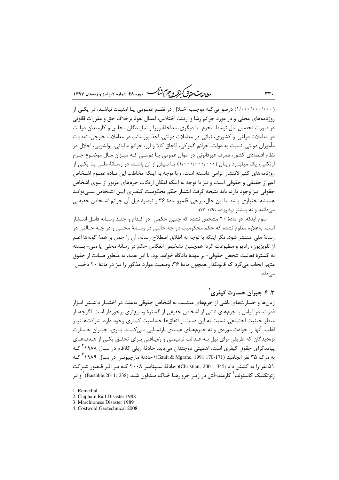بط<sub>الع</sub>ت حق<sup>ق</sup> كيفركه وجرم شيم -<br>- دوره ۴۸، شماره ۲، بابیز و زمستان ۱۳۹۷

(۱/۰۰۰/۰۰۰/۰۰۰) درصورتی کـه موجـب اخـلال در نظـم عمـومی یـا امنیـت نباشـد، در یکـی از روزنامههای محلی و در مورد جرائم رشا و ارتشا، اختلاس، اعمال نفوذ برخلاف حق و مقررات قانونی در صورت تحصیل مال توسط مجرم یا دیگری، مداخلهٔ وزرا و نمایندگان مجلس و کارمندان دولت در معاملات دولتی و کشوری، تبانی در معاملات دولتی، اخذ پورسانت در معاملات خارجی، تعدیات مأموران دولتي نسبت به دولت، جرائم گمر کي، قاچاق کالا و ارز، جرائم مالياتي، يولشويي، اخلال در نظام اقتصادی کشور، تصرف غیرقانونی در اموال عمومی یـا دولتـی کـه میـزان مـال موضـوع جـرم ارتکابی، یک میلیـارد ریـال (۱٬۰۰۰٬۰۰۰/۰۰۰) یـا بـیش از آن باشـد، در رسـانهٔ ملـی یـا یکـی از روزنامههای کثیرالانتشار الزامی دانسته است، و با توجه به اینکه مخاطب این مـاده عمـوم اشـخاص اعم از حقیقی و حقوقی است، و نیز با توجه به اینکه امکان ارتکاب جرمهای مزبور از سوی اشخاص حقوقی نیز وجود دارد، باید نتیجه گرفت انتشار حکم محکومیت کیفـری ایـن اشـخاص نمـی توانـد هميشه اختياري باشد. با اين حال، برخي، قلمرو مادهٔ ۳۶ و تبصرهٔ ذيل آن جرائم اشـخاص حقيقـي می دانند و نه بیشتر (رفیعزاده، ۱۳۹۲: ۷۲).

سوم اینکه، در مادهٔ ۲۰ مشخص نشده که چنین حکمی ِ در کـدام و چنـد رسـانه قابـل انتـشار است. بهعلاوه معلوم نشده که حکم محکومیت در چه حالتی در رسـانهٔ محلـی و در چـه حـالتی در رسانهٔ ملی منتشر شود. مگر اینکه با توجه به اطلاق اصطلاح رسانه، آن را حمل بر همهٔ گونهها اعـم از تلویزیون، رادیو و مطبوعات کرد. همچنین تشخیص انعکاس حکم در رسانهٔ محلی یا ملی- بـسته به گسترهٔ فعالیت شخص حقوقی- بر عهدهٔ دادگاه خواهد بود. با این همه، به منظور صیانت از حقوق متهم ایجاب میکرد که قانونگذار همچون مادهٔ ۳۶، وضعیت موارد مذکور را نیز در مادهٔ ۲۰ دخیـل مے رداد.

۴.۳. جبران خسارت کیفری ۲

زیانها و خسارتهای ناشی از جرمهای منتسب به اشخاص حقوقی بهعلت در اختیـار داشـتن ابـزار قدرت، در قیاس با جرمهای ناشی از اشخاص حقیقی از گسترهٔ وسیعتری برخوردار است. اگرچه، از منظر حیثیت اجتماعی، نسبت به این دست از اتفاق۱ها حساسیت کمتری وجود دارد. شرکتها نیـز اغلب، آنها را حوادث موردی و نه جـرمهـای عمـدی بازنمـایی مـی کننـد. بـاری، جبـران خـسارت بزهدیدگان که طریقی برای نیل بـه عـدالت ترمیمـی و رَهیـافتی بـرای تحقـق یکـی از هـدفهـای پیامدگرای حقوق کیفری است، اهمیتی دوچندان می یابد. حادثهٔ ریلی کلافام در سـال ۱۹۸۸<sup>۲ ک</sup>ـه به مرگ ۳۵ نفر انجامید (Gault & Mgranc, 1991:170-171)؛ حادثهٔ مارچیونس در سـال ۱۹۸۹ <sup>۲</sup> کـه ۵۱ نفر را به کشتن داد (Christian, 2001, 345)؛ حادثهٔ سـیتامبر ۲۰۰۸ کـه بـر اثـر قـصور شـرکت ژئوتکنیک کاستولد، <sup>۴</sup> کا<sub>ر</sub>مند-اَش در زیـر خروارهـا *خ*ـاک مـدفون شـد (Bastable,2011: 238) <sup>۱</sup> و در

- 1. Remedial
- 2. Clapham Rail Disaster 1988

 $rrr$ .

<sup>3.</sup> Marchioness Disaster 1989

<sup>4.</sup> Costwold Geotechnical 2008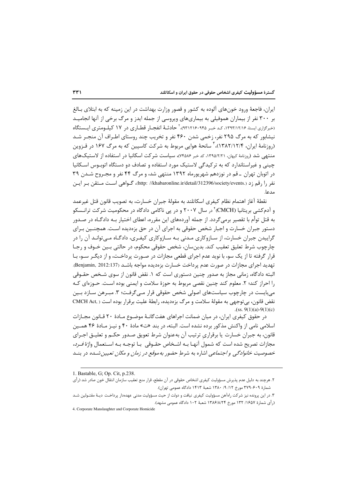ایران، فاجعهٔ ورود خونهای آلوده به کشور و قصور وزارت بهداشت در این زمینه که به ابتلای بـالغ بر ۳۰۰ نفر از بیماران هموفیلی به بیماریهای ویروسی از جمله ایدز و مرگ برخی از آنها انجامیـد (خبرگزاری ایسنا، ۱۳۹۳/۱۲/۱۶ کـدخبـر ۹۳۱۲۱۶۰۹۴۵)، حادثـهٔ انفجـار قطـاری در ۱۷ کیلـومتری ایـستگاه نیشابور که به مرگ ۲۹۵ نفر، زخمی شدن ۴۶۰ نفر و تخریب چند روستای اطـراف آن منجـر شـد (روزنامهٔ ایران، ۱۳۸۲/۱۲/۴)، ٌ سانحهٔ هوایی مربوط به شرکت کاسپین که به مرگ ۱۶۷ در قـزوین منتهی شد (روزنامهٔ کیهان، ۱۳۹۵/۲/۲۱، کد خبر ۷۴۵۸۶)، سیاست شرکت اسکانیا در استفاده از لاستیکهای چینی و غیراستاندارد که به ترکیدگی لاستیک مورد استفاده و تصادف دو دستگاه اتوبیوس اسکانیا در اتوبان تهران \_ قم در نوزدهم شهریورماه ۱۳۹۲ منتهی شد، و مرگ ۴۴ نفر و مجـروح شـدن ۳۹ نفر را رقم زد (.http: //khabaronline.ir/detail/312396/society/events)، گــواهي اســت مــتقن بـر ايــن  $l_{c,1}$ 

نقطهٔ آغاز اهتمام نظام کیفری اسکاتلند به مقولهٔ جبران خسارت، به تصویب قانون قتل غیرعمد و آدم کشی بریتانیا (CMCH) ٔ در سال ۲۰۰۷ و در پی ناکامی دادگاه در محکومیت شرکت ترانـسکو به قتل توأم با تقصیر برمی گردد. از جمله آوردههای این مقرره، اعطای اختیار بـه دادگـاه در صـدور دستور جبران خسارت و اجبار شخص حقوقی به اجرای آن در حق بزهدیده است. همچنـین بـرای گراییدن جبران خسارت، از سـازوکاری مـدنی بـه سـازوکاری کیفـری، دادگـاه مـی توانـد آن را در چارچوب شرط تعليق تعقيب كند. بدين سان، شخص حقوقي محكوم، در حالتي بـين خـوف و رجـا قرار گرفته تا از یک سو، با نوید عدم اجرای قطعی مجازات در صـورت پرداخـت، و از دیگـر سـو، بـا تهديد اجراي مجازات در صورت عدم پرداخت خسارت بزمديده مواجه باشـد (Benjamin, 2012:137). البته دادگاه، زمانی مجاز به صدور چنین دستوری است که ۱. نقض قانون از سوی شـخص حقـوقی را احراز كند؛ ٢. معلوم كند چنين نقصى مربوط به حوزهٔ سلامت و ايمنى بوده است. حـوزهاى كـه می بایست در چارچوب سیاستهای اصولی شخص حقوقی قرار مے گرفت؛ ۳. مبـرهن سـازد بـین نقض قانون، بی توجهی به مقولهٔ سلامت و مرگ بزهدیده، رابطهٔ علیت برقرار بوده است ( ,CMCH Act  $(ss. 9(1)(a)-9(1)(c))$ 

در حقوق کیفری ایران، در میان ضمانت اجراهای هفت گانـهٔ موضـوع مـادهٔ ۲۰ قـانون مجـازات اسلامي نامي از واكنش مذكور برده نشده است. البته، در بند «ت» مادهٔ ۴۰ و نيـز مـادهٔ ۴۶ همـين قانون، به جبران خسارت یا برقراری ترتیب آن بهعنوان شرط تعویق صـدور حکـم و تعلیـق اجـرای مجازات تصریح شده است که شمول آنهـا بــه اشـخاص حقــوقی بـا توجــه بــه اســتعمال واژهٔ *فــرد، خصوصیت خانوادگی و اجتماعی* اشاره به شرط حضور ب*ه موقع د*ر ز*مان و مکان تعیین شـده* در بنـد

<sup>1.</sup> Bastable, G; Op. Cit, p.238.

۲. هرچند به دلیل عدم پذیرش مسؤولیت کیفری اشخاص حقوقی در آن مقطع، قرار منع تعقیب سازمان انتقال خون صادر شد (رأی شمارهٔ ۴۰۹-۳۷۹ مورخ ۱۲/ ۹/ ۱۳۸۰ شعبهٔ ۱۴۱۳ دادگاه عمومی تهران).

۳. در این پرونده نیز شرکت راهآهن مسؤولیت کیفری نیافت و دولت از حیث مسؤولیت مدنی عهدهدار پرداخـت دیـهٔ مقتـولین شـد (رأى شمارة ١٤٥٧/ ١٣٢ مورخ ١٣٨۶/٨/٢۴ شعبة ١٠٢ دادگاه عمومي مشهد).

<sup>4.</sup> Corporate Manslaughter and Corporate Homicide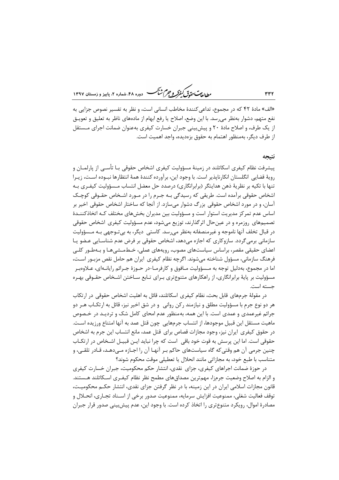ر<br>مط *لامات حقاق کفوکر و جرم شنگ* دوره ۴۸، شعاره ۲، پاییز و زمستان ۱۳۹۷

«الف» مادهٔ ۴۲ که در مجموع، تداعی کنندهٔ مخاطب انسانی است، و نظر به تفسیر نصوص جزایی به نفع متهم، دشوار بهنظر مىرسد. با اين وضع، اصلاح يا رفع ابهام از مادههاى ناظر به تعليق و تعويــق از یک طرف، و اصلاح مادهٔ ۲۰ و پیش بینی جبران خسارت کیفری بهعنوان ضمانت اجرای مـستقل از طرف دیگر، بهمنظور اهتمام به حقوق بزهدیده، واجد اهمیت است.

#### نتىحە

پیشرفت نظام کیفری اسکاتلند در زمینهٔ مسؤولیت کیفری اشخاص حقوقی بـا تأسـی از پارلمـان و رويهٔ قضايي انگلستان انكارنايذير است. با وجود اين، برآورده كنندهٔ همهٔ انتظارها نبـوده اسـت، زيـرا تنها با تکیه بر نظریهٔ ذهن هدایتگر (برابرانگاری) درصدد حل معضل انتساب مـسؤولیت کیفـری بـه اشخاص حقوقی برآمده است. طریقی که رسیدگی بـه جـرم را در مـورد اشـخاص حقـوقی کوچـک آسان، و در مورد اشخاص حقوقی بزرگ دشوار می سازد. از آنجا که ساختار اشخاص حقوقی اخیر بر اساس عدم تمرکز مدیریت استوار است و مسؤولیت بین مدیران بخشهای مختلف کـه اتخاذکننـدهٔ تصمیمهای روزمره و در عین حال اثر گذارند، توزیع مے شود، عدم مسؤولیت کیفری اشخاص حقوقی در قبال تخلف آنها ناموجه و غیرمنصفانه بهنظر می رسد. کاستی دیگر، به بی تـوجهی بـه مـسؤولیت سازمانی برمی گردد. سازوکاری که اجازه میدهد، اشخاص حقوقی بر فرض عدم شناسـایی عـضو یـا اعضای حقیقی مقصر، براساس سیاستهای مصوب، رویههای عملی، خـطمـشیهـا و بـهطـور کلـی فرهنگ سازمانی، مسؤول شناخته می شوند. اگرچه نظام کیفری ایران هم حامل نقص مزبـور اسـت، اما در مجموع، بهدلیل توجه به مـسؤولیت مـافوق و کارفرمـا-در حـوزهٔ جـرائم رایانــهای، عــلاوهبـر مسؤولیت بر پایهٔ برابرانگاری، از راهکارهای متنوع تری بـرای تـابع سـاختن اشـخاص حقـوقی بهـره حسته است.

در مقولهٔ جرمهای قابل بحث، نظام کیفری اسکاتلند، قائل به اهلیت اشخاص حقوقی در ارتکاب هر دو نوع جرم با مسؤولیت مطلق و نیازمند رکن روانی وو در شق اخیر نیز، قائل به ارتکـاب هـر دو جرائم غیرعمدی و عمدی است. با این همه، بهمنظور عدم امحای کامل شک و تردیـد در خـصوص ماهيت مستقل اين قبيل موجودها، از انتساب جرمهايي چون قتل عمد به آنها امتناع ورزيده اسـت. در حقوق کیفری ایران نیز، وجود مجازات قصاص برای قتل عمد، مانع انتساب این جرم به اشخاص حقوقی است. اما این پرسش به قوت خود باقی است که چرا نباید ایـن قبیـل اشـخاص در ارتکـاب چنین جرمی آن هم وقتی که گاه سیاستهای حاکم بـر آنهـا آن را اجـازه مـی۵هـد، قـادر تلقـی، و متناسب با طبع خود، به مجازاتی مانند انحلال یا تعطیلی موقت محکوم شوند؟

در حوزهٔ ضمانت اجراهای کیفری، جزای نقدی، انتشار حکم محکومیت، جبران خسارت کیفری و الزام به اصلاح وضعیت جرمزا، مهمترین مصداق های مطمح نظر نظام کیفـری اسـکاتلند هـستند. قانون مجازات اسلامی ایران در این زمینه، با در نظر گرفتن جزای نقدی، انتشار حکـم محکومیـت، توقف فعاليت شغلي، ممنوعيت افزايش سرمايه، ممنوعيت صدور برخي از اسـناد تجـاري، انحـلال و مصادرهٔ اموال، رویکرد متنوعتری را اتخاذ کرده است. با وجود این، عدم پیش بینی صدور قرار جبران

 $rrr$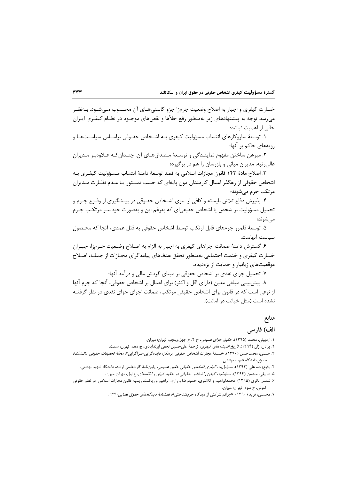گسترهٔ مسؤولیت کیفری اشخاص حقوقی در حقوق ایران و اسکاتلند

خسارت کیفری و اجبار به اصلاح وضعیت جرمزا جزو کاستی هـای آن محـسوب مـی.شـود. بــهنظـر میرسد توجه به پیشنهادهای زیر بهمنظور رفع خلأها و نقصهای موجـود در نظـام کیفـری ایـران خالی از اهمیت نباشد:

۱. توسعهٔ سازوکارهای انتساب مسؤولیت کیفری بـه اشـخاص حقـوقی براسـاس سیاسـتهـا و رویههای حاکم بر آنها؛

۲. مبرهن ساختن مفهوم نماینـدگی و توسـعهٔ مـصداقهـای آن. چنـدان *کـه ع*ـلاوهبـر مـدیران عالی٫ تبه، مدیران میانی و باز٫سان ٫ا هم د٫ بر گیرد؛

٣. اصلاح مادة ١۴٣ قانون مجازات اسلامي به قصد توسعهٔ دامنهٔ انتساب مـسؤوليت كيفـرى بـه اشخاص حقوقی از رهگذر اعمال کارمندان دون پایهای که حسب دسـتور یـا عـدم نظـارت مـدیران مر تکب جرم مے شوند؛

۴. پذیرش دفاع تلاش بایسته و کافی از سوی اشـخاص حقـوقی در پیـشگیری از وقـوع جـرم و تحمیل مسؤولیت بر شخص یا اشخاص حقیقی|ی که بهرغم این و بهصورت خودسـر مرتکـب جـرم مے شوند؛

۵. توسعهٔ قلمرو جرمهای قابل ارتکاب توسط اشخاص حقوقی به قتل عمدی، آنجا که محـصول سياست آنهاست.

۶. گسترش دامنهٔ ضمانت اجراهای کیفری به اجبار به الزام به اصـلاح وضـعیت جـرمزا، جبـران خسارت کیفری و خدمت اجتماعی بهمنظور تحقق هدفهای پیامدگرای مجـازات از جملـه، اصـلاح موقعیتهای زیانبار و حمایت از بزهدیده.

۷. تحمیل جزای نقدی بر اشخاص حقوقی بر مبنای گردش مالی و درآمد آنها؛

٨. پیش بینی مبلغی معین (دارای اقل و اکثر) برای اعمال بر اشخاص حقوقی، آنجا که جرم آنها از نوعی است که در قانون برای اشخاص حقیقی مرتکب، ضمانت اجرای جزای نقدی در نظر گرفتـه نشده است (مثل خیانت در امانت).

## منابع

### الف) فارسی

- ١. اردبیلی، محمد (١٣٩۵). ح*قوق جزای عمومی،* ج ٢، چ چهل وپنجم، تهران: میزان.
- ۲. پرادل، ژان (۱۳۹۴). *تاریخ اندیشههای کیفری*، ترجمهٔ علیحسین نجفی ابرندآبادی، چ دهم، تهران: سمت.
- ۳. حسنی، محمدحسن (۱۳۹۰). «فلسفهٔ مجازات اشخاص حقوقی بزهکار: فایدهگرایی-سزاگرایی»، *مجلهٔ تحقیقات حقوقی دانــشکدهٔ* حقوق دانشگاه شهید بهشتی.
	- ۴. رفیعزاده، علی (۱۳۹۲). مسؤول*یت کیفری اشخاص حقوقی حقوق عمومی،* پایاننامهٔ کارشناسی ارشد، دانشگاه شهید بهشتی.
		- ۵. شریفی، محسن (۱۳۹۴). *مسؤولیت کیفری اشخاص حقوقی در حقوق ایران و انگلستان*، چ اول، تهران: میزان.
- ۶. شمس ناتری (۱۳۹۵). محمدابراهیم و کلانتری، حمیدرضا و زارع، ابراهیم و ریاضت، زینب؛ قانون مجازات اسلامی در نظم حقوقی کنوني، چ سوم، تهران: ميزان.
	- ۷. محسنی، فرید (۱۳۹۰). «جرائم شرکتی از دیدگاه جرمشناختی»، *فصلنامهٔ دیدگاههای حقوق قضایی۱۳۹۰.*